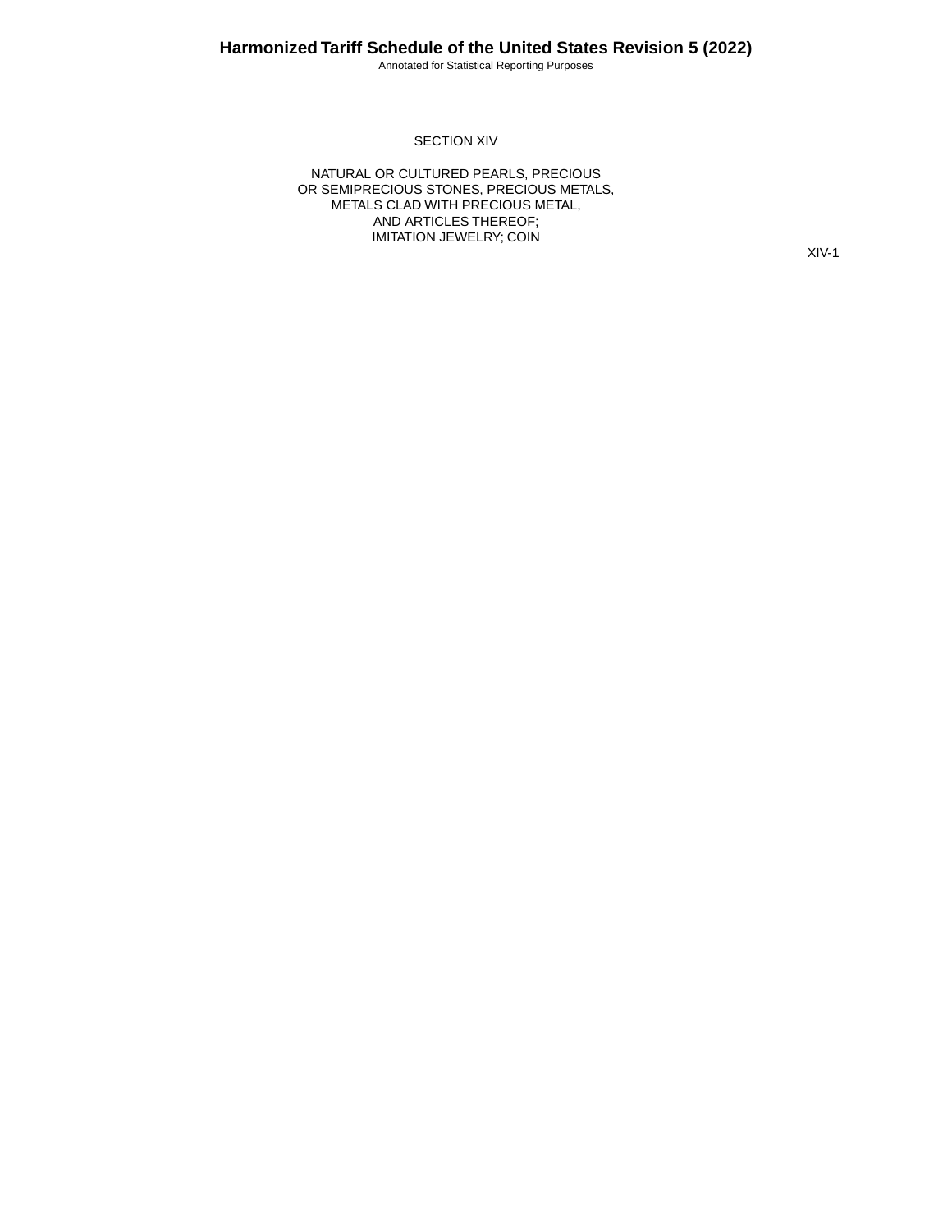Annotated for Statistical Reporting Purposes

### SECTION XIV

NATURAL OR CULTURED PEARLS, PRECIOUS OR SEMIPRECIOUS STONES, PRECIOUS METALS, METALS CLAD WITH PRECIOUS METAL, AND ARTICLES THEREOF; IMITATION JEWELRY; COIN

XIV-1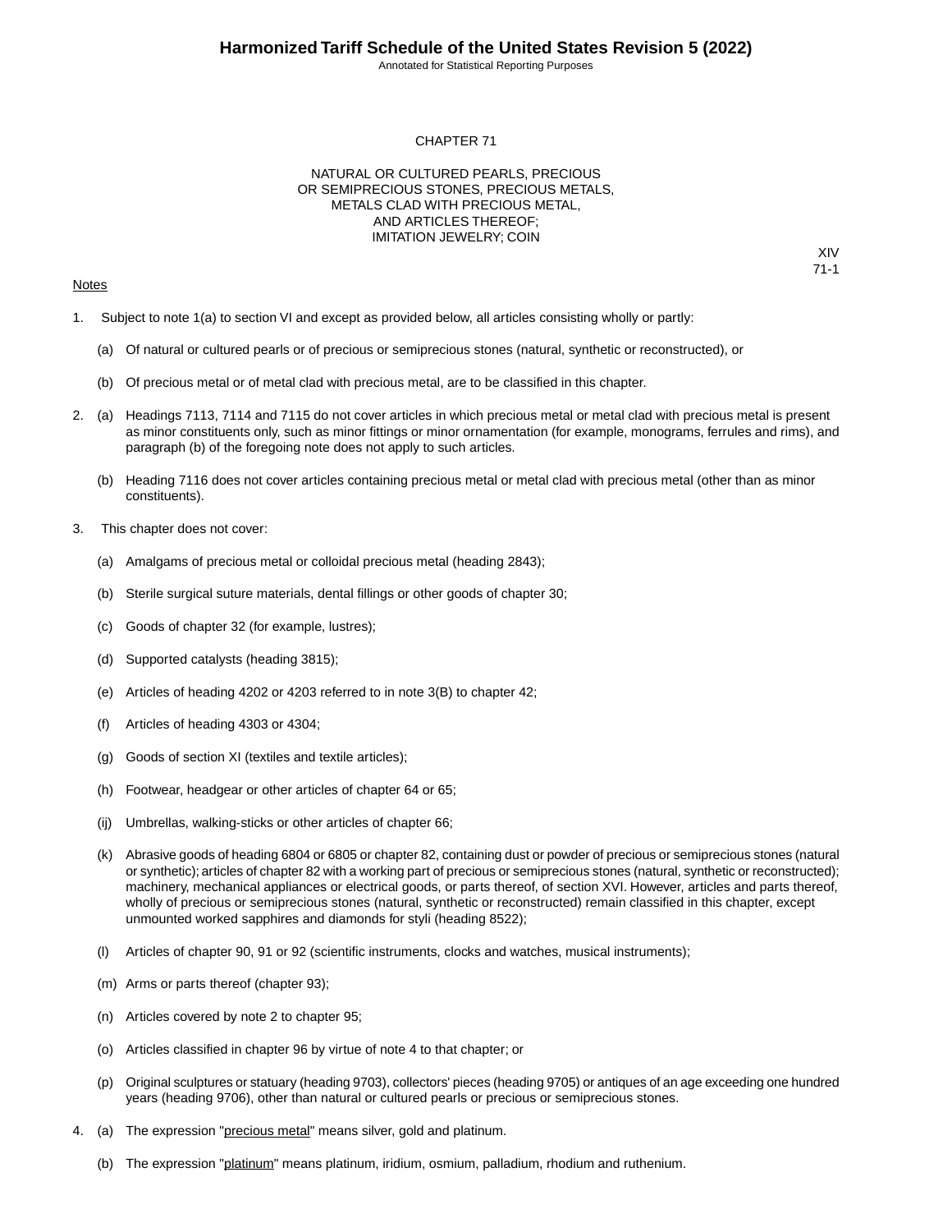Annotated for Statistical Reporting Purposes

XIV 71-1

### CHAPTER 71

### NATURAL OR CULTURED PEARLS, PRECIOUS OR SEMIPRECIOUS STONES, PRECIOUS METALS, METALS CLAD WITH PRECIOUS METAL, AND ARTICLES THEREOF; IMITATION JEWELRY; COIN

### Notes

1. Subject to note 1(a) to section VI and except as provided below, all articles consisting wholly or partly:

- (a) Of natural or cultured pearls or of precious or semiprecious stones (natural, synthetic or reconstructed), or
- (b) Of precious metal or of metal clad with precious metal, are to be classified in this chapter.
- 2. (a) Headings 7113, 7114 and 7115 do not cover articles in which precious metal or metal clad with precious metal is present as minor constituents only, such as minor fittings or minor ornamentation (for example, monograms, ferrules and rims), and paragraph (b) of the foregoing note does not apply to such articles.
	- (b) Heading 7116 does not cover articles containing precious metal or metal clad with precious metal (other than as minor constituents).
- 3. This chapter does not cover:
	- (a) Amalgams of precious metal or colloidal precious metal (heading 2843);
	- (b) Sterile surgical suture materials, dental fillings or other goods of chapter 30;
	- (c) Goods of chapter 32 (for example, lustres);
	- (d) Supported catalysts (heading 3815);
	- (e) Articles of heading 4202 or 4203 referred to in note 3(B) to chapter 42;
	- (f) Articles of heading 4303 or 4304;
	- (g) Goods of section XI (textiles and textile articles);
	- (h) Footwear, headgear or other articles of chapter 64 or 65;
	- (ij) Umbrellas, walking-sticks or other articles of chapter 66;
	- (k) Abrasive goods of heading 6804 or 6805 or chapter 82, containing dust or powder of precious or semiprecious stones (natural or synthetic); articles of chapter 82 with a working part of precious or semiprecious stones (natural, synthetic or reconstructed); machinery, mechanical appliances or electrical goods, or parts thereof, of section XVI. However, articles and parts thereof, wholly of precious or semiprecious stones (natural, synthetic or reconstructed) remain classified in this chapter, except unmounted worked sapphires and diamonds for styli (heading 8522);
	- (l) Articles of chapter 90, 91 or 92 (scientific instruments, clocks and watches, musical instruments);
	- (m) Arms or parts thereof (chapter 93);
	- (n) Articles covered by note 2 to chapter 95;
	- (o) Articles classified in chapter 96 by virtue of note 4 to that chapter; or
	- (p) Original sculptures or statuary (heading 9703), collectors' pieces (heading 9705) or antiques of an age exceeding one hundred years (heading 9706), other than natural or cultured pearls or precious or semiprecious stones.
- 4. (a) The expression "precious metal" means silver, gold and platinum.
	- (b) The expression "platinum" means platinum, iridium, osmium, palladium, rhodium and ruthenium.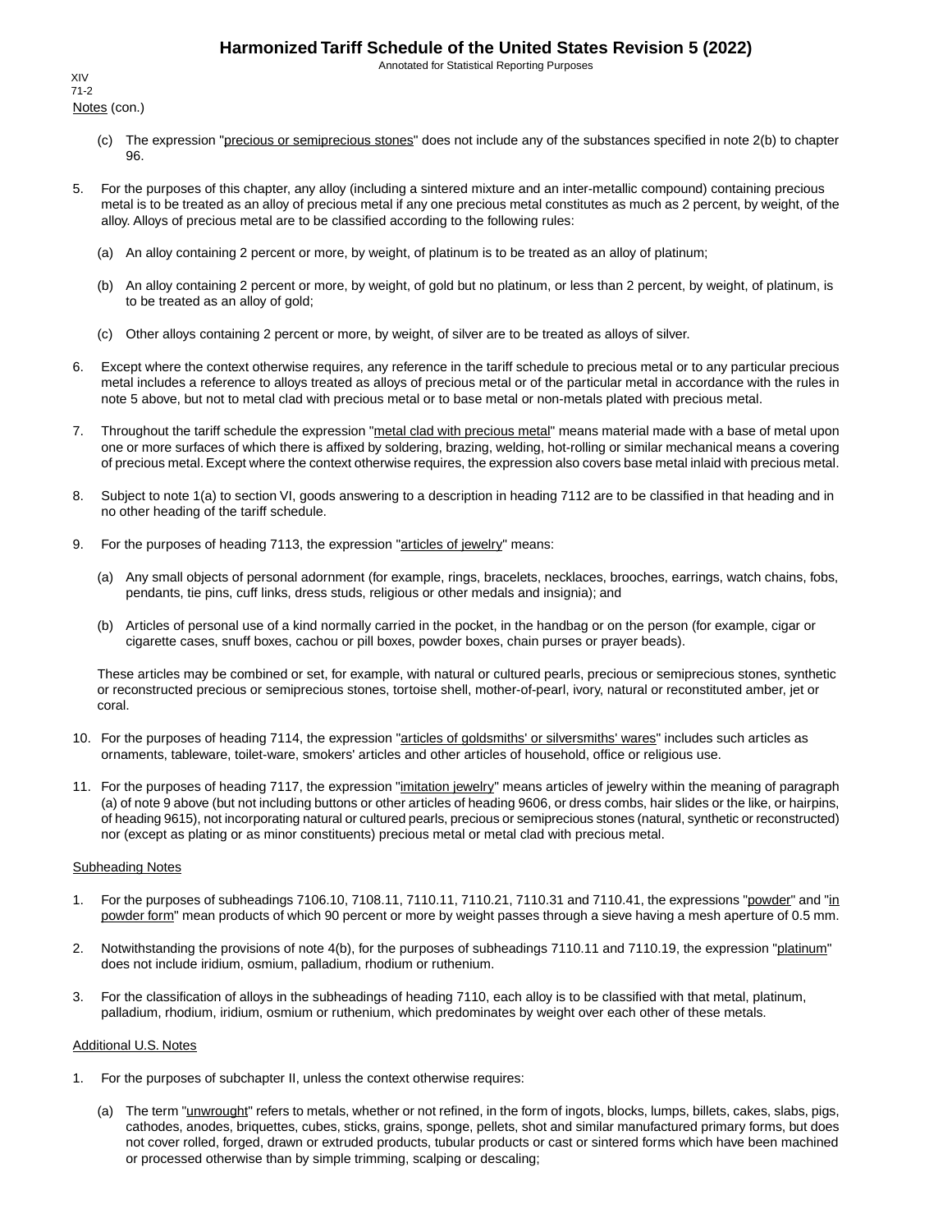Annotated for Statistical Reporting Purposes

Notes (con.) XIV 71-2

- (c) The expression "precious or semiprecious stones" does not include any of the substances specified in note 2(b) to chapter 96.
- 5. For the purposes of this chapter, any alloy (including a sintered mixture and an inter-metallic compound) containing precious metal is to be treated as an alloy of precious metal if any one precious metal constitutes as much as 2 percent, by weight, of the alloy. Alloys of precious metal are to be classified according to the following rules:
	- (a) An alloy containing 2 percent or more, by weight, of platinum is to be treated as an alloy of platinum;
	- (b) An alloy containing 2 percent or more, by weight, of gold but no platinum, or less than 2 percent, by weight, of platinum, is to be treated as an alloy of gold;
	- (c) Other alloys containing 2 percent or more, by weight, of silver are to be treated as alloys of silver.
- 6. Except where the context otherwise requires, any reference in the tariff schedule to precious metal or to any particular precious metal includes a reference to alloys treated as alloys of precious metal or of the particular metal in accordance with the rules in note 5 above, but not to metal clad with precious metal or to base metal or non-metals plated with precious metal.
- 7. Throughout the tariff schedule the expression "metal clad with precious metal" means material made with a base of metal upon one or more surfaces of which there is affixed by soldering, brazing, welding, hot-rolling or similar mechanical means a covering of precious metal. Except where the context otherwise requires, the expression also covers base metal inlaid with precious metal.
- 8. Subject to note 1(a) to section VI, goods answering to a description in heading 7112 are to be classified in that heading and in no other heading of the tariff schedule.
- 9. For the purposes of heading 7113, the expression "articles of jewelry" means:
	- (a) Any small objects of personal adornment (for example, rings, bracelets, necklaces, brooches, earrings, watch chains, fobs, pendants, tie pins, cuff links, dress studs, religious or other medals and insignia); and
	- (b) Articles of personal use of a kind normally carried in the pocket, in the handbag or on the person (for example, cigar or cigarette cases, snuff boxes, cachou or pill boxes, powder boxes, chain purses or prayer beads).

These articles may be combined or set, for example, with natural or cultured pearls, precious or semiprecious stones, synthetic or reconstructed precious or semiprecious stones, tortoise shell, mother-of-pearl, ivory, natural or reconstituted amber, jet or coral.

- 10. For the purposes of heading 7114, the expression "articles of goldsmiths' or silversmiths' wares" includes such articles as ornaments, tableware, toilet-ware, smokers' articles and other articles of household, office or religious use.
- 11. For the purposes of heading 7117, the expression "imitation jewelry" means articles of jewelry within the meaning of paragraph (a) of note 9 above (but not including buttons or other articles of heading 9606, or dress combs, hair slides or the like, or hairpins, of heading 9615), not incorporating natural or cultured pearls, precious or semiprecious stones (natural, synthetic or reconstructed) nor (except as plating or as minor constituents) precious metal or metal clad with precious metal.

### Subheading Notes

- 1. For the purposes of subheadings 7106.10, 7108.11, 7110.11, 7110.21, 7110.31 and 7110.41, the expressions "powder" and "in powder form" mean products of which 90 percent or more by weight passes through a sieve having a mesh aperture of 0.5 mm.
- 2. Notwithstanding the provisions of note 4(b), for the purposes of subheadings 7110.11 and 7110.19, the expression "platinum" does not include iridium, osmium, palladium, rhodium or ruthenium.
- 3. For the classification of alloys in the subheadings of heading 7110, each alloy is to be classified with that metal, platinum, palladium, rhodium, iridium, osmium or ruthenium, which predominates by weight over each other of these metals.

### Additional U.S. Notes

- 1. For the purposes of subchapter II, unless the context otherwise requires:
	- (a) The term "unwrought" refers to metals, whether or not refined, in the form of ingots, blocks, lumps, billets, cakes, slabs, pigs, cathodes, anodes, briquettes, cubes, sticks, grains, sponge, pellets, shot and similar manufactured primary forms, but does not cover rolled, forged, drawn or extruded products, tubular products or cast or sintered forms which have been machined or processed otherwise than by simple trimming, scalping or descaling;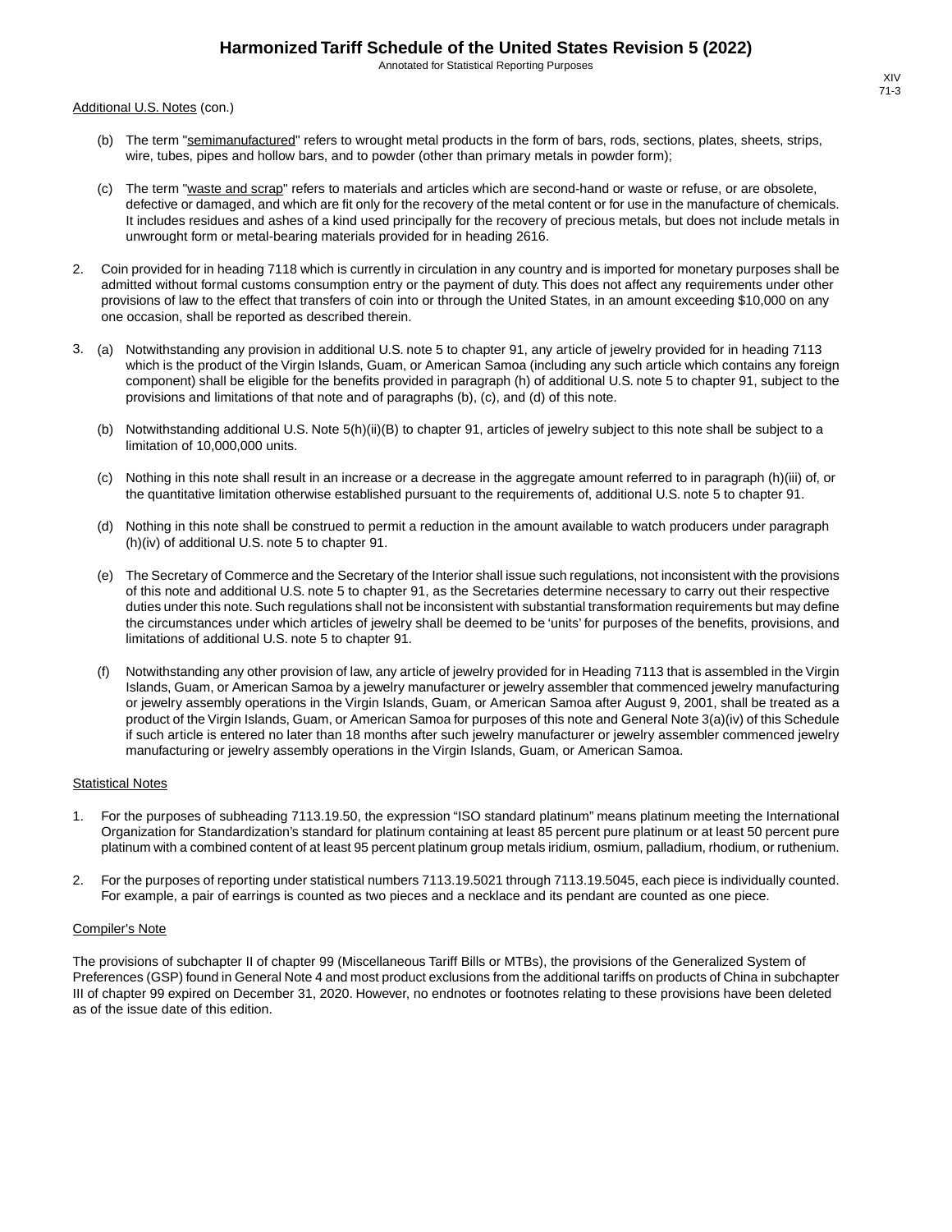Annotated for Statistical Reporting Purposes

Additional U.S. Notes (con.)

- (b) The term "semimanufactured" refers to wrought metal products in the form of bars, rods, sections, plates, sheets, strips, wire, tubes, pipes and hollow bars, and to powder (other than primary metals in powder form);
- (c) The term "waste and scrap" refers to materials and articles which are second-hand or waste or refuse, or are obsolete, defective or damaged, and which are fit only for the recovery of the metal content or for use in the manufacture of chemicals. It includes residues and ashes of a kind used principally for the recovery of precious metals, but does not include metals in unwrought form or metal-bearing materials provided for in heading 2616.
- 2. Coin provided for in heading 7118 which is currently in circulation in any country and is imported for monetary purposes shall be admitted without formal customs consumption entry or the payment of duty. This does not affect any requirements under other provisions of law to the effect that transfers of coin into or through the United States, in an amount exceeding \$10,000 on any one occasion, shall be reported as described therein.
- 3. (a) Notwithstanding any provision in additional U.S. note 5 to chapter 91, any article of jewelry provided for in heading 7113 which is the product of the Virgin Islands, Guam, or American Samoa (including any such article which contains any foreign component) shall be eligible for the benefits provided in paragraph (h) of additional U.S. note 5 to chapter 91, subject to the provisions and limitations of that note and of paragraphs (b), (c), and (d) of this note.
	- (b) Notwithstanding additional U.S. Note 5(h)(ii)(B) to chapter 91, articles of jewelry subject to this note shall be subject to a limitation of 10,000,000 units.
	- (c) Nothing in this note shall result in an increase or a decrease in the aggregate amount referred to in paragraph (h)(iii) of, or the quantitative limitation otherwise established pursuant to the requirements of, additional U.S. note 5 to chapter 91.
	- (d) Nothing in this note shall be construed to permit a reduction in the amount available to watch producers under paragraph (h)(iv) of additional U.S. note 5 to chapter 91.
	- (e) The Secretary of Commerce and the Secretary of the Interior shall issue such regulations, not inconsistent with the provisions of this note and additional U.S. note 5 to chapter 91, as the Secretaries determine necessary to carry out their respective duties under this note. Such regulations shall not be inconsistent with substantial transformation requirements but may define the circumstances under which articles of jewelry shall be deemed to be 'units' for purposes of the benefits, provisions, and limitations of additional U.S. note 5 to chapter 91.
	- (f) Notwithstanding any other provision of law, any article of jewelry provided for in Heading 7113 that is assembled in the Virgin Islands, Guam, or American Samoa by a jewelry manufacturer or jewelry assembler that commenced jewelry manufacturing or jewelry assembly operations in the Virgin Islands, Guam, or American Samoa after August 9, 2001, shall be treated as a product of the Virgin Islands, Guam, or American Samoa for purposes of this note and General Note 3(a)(iv) of this Schedule if such article is entered no later than 18 months after such jewelry manufacturer or jewelry assembler commenced jewelry manufacturing or jewelry assembly operations in the Virgin Islands, Guam, or American Samoa.

#### Statistical Notes

- 1. For the purposes of subheading 7113.19.50, the expression "ISO standard platinum" means platinum meeting the International Organization for Standardization's standard for platinum containing at least 85 percent pure platinum or at least 50 percent pure platinum with a combined content of at least 95 percent platinum group metals iridium, osmium, palladium, rhodium, or ruthenium.
- 2. For the purposes of reporting under statistical numbers 7113.19.5021 through 7113.19.5045, each piece is individually counted. For example, a pair of earrings is counted as two pieces and a necklace and its pendant are counted as one piece.

#### Compiler's Note

The provisions of subchapter II of chapter 99 (Miscellaneous Tariff Bills or MTBs), the provisions of the Generalized System of Preferences (GSP) found in General Note 4 and most product exclusions from the additional tariffs on products of China in subchapter III of chapter 99 expired on December 31, 2020. However, no endnotes or footnotes relating to these provisions have been deleted as of the issue date of this edition.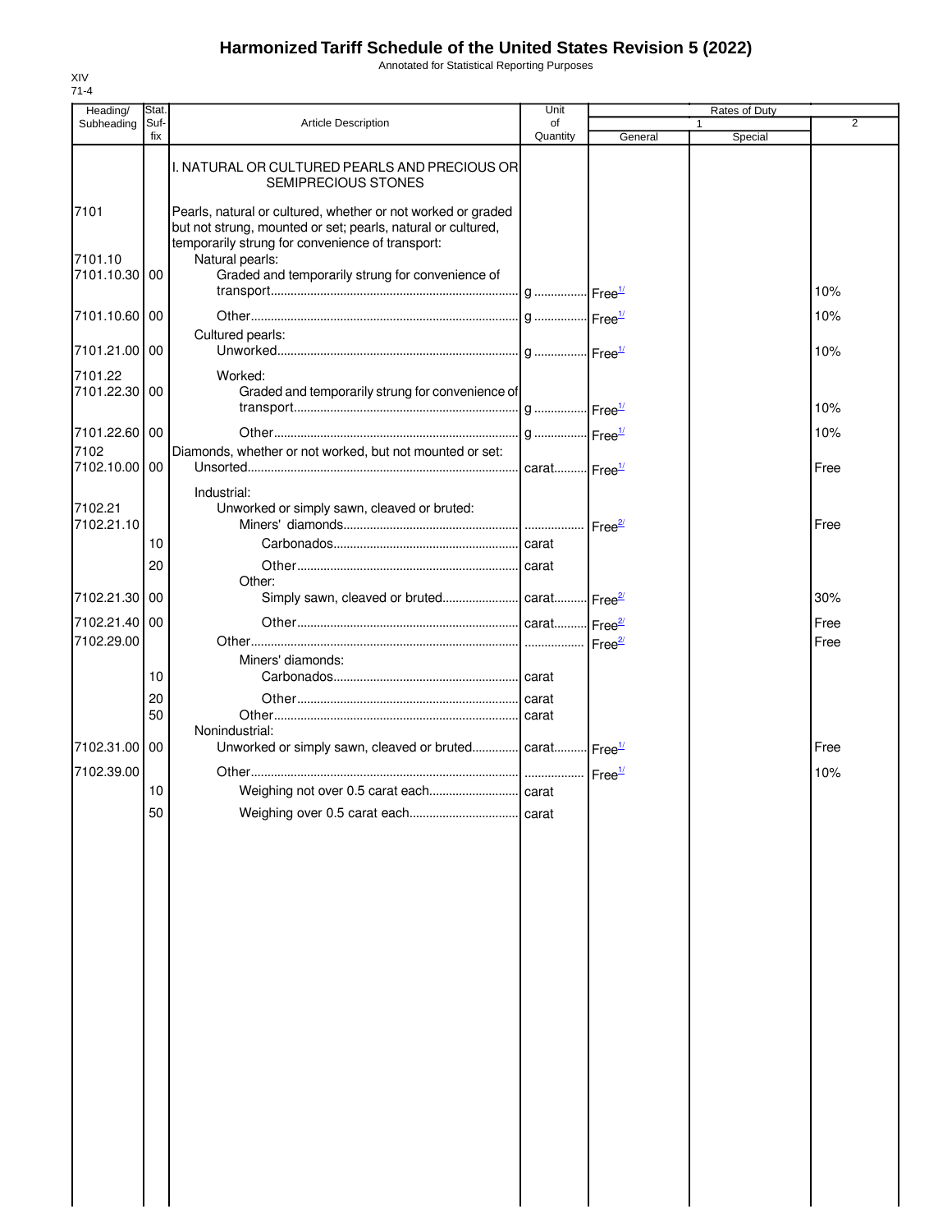Annotated for Statistical Reporting Purposes

| Heading/                 | Stat.       |                                                                                                                                                                                  | Unit           |                    | Rates of Duty |                |
|--------------------------|-------------|----------------------------------------------------------------------------------------------------------------------------------------------------------------------------------|----------------|--------------------|---------------|----------------|
| Subheading               | Suf-<br>fix | <b>Article Description</b>                                                                                                                                                       | οf<br>Quantity | General            | 1<br>Special  | $\overline{2}$ |
|                          |             | I. NATURAL OR CULTURED PEARLS AND PRECIOUS OR<br>SEMIPRECIOUS STONES                                                                                                             |                |                    |               |                |
| 7101                     |             | Pearls, natural or cultured, whether or not worked or graded<br>but not strung, mounted or set; pearls, natural or cultured,<br>temporarily strung for convenience of transport: |                |                    |               |                |
| 7101.10<br>7101.10.30 00 |             | Natural pearls:<br>Graded and temporarily strung for convenience of                                                                                                              |                |                    |               | 10%            |
| 7101.10.60 00            |             |                                                                                                                                                                                  |                |                    |               | 10%            |
| 7101.21.00 00            |             | Cultured pearls:                                                                                                                                                                 |                |                    |               | 10%            |
| 7101.22                  |             | Worked:                                                                                                                                                                          |                |                    |               |                |
| 7101.22.30 00            |             | Graded and temporarily strung for convenience of                                                                                                                                 |                |                    |               | 10%            |
| 7101.22.60 00            |             |                                                                                                                                                                                  |                |                    |               | 10%            |
| 7102<br>7102.10.00 00    |             | Diamonds, whether or not worked, but not mounted or set:                                                                                                                         |                |                    |               | Free           |
| 7102.21<br>7102.21.10    |             | Industrial:<br>Unworked or simply sawn, cleaved or bruted:                                                                                                                       |                |                    |               | Free           |
|                          | 10          |                                                                                                                                                                                  |                |                    |               |                |
|                          | 20          |                                                                                                                                                                                  |                |                    |               |                |
| 7102.21.30 00            |             | Other:<br>Simply sawn, cleaved or bruted carat Free <sup>27</sup>                                                                                                                |                |                    |               | 30%            |
| 7102.21.40 00            |             |                                                                                                                                                                                  |                |                    |               | Free           |
| 7102.29.00               |             | Miners' diamonds:                                                                                                                                                                |                | Free <sup>2/</sup> |               | Free           |
|                          | 10          |                                                                                                                                                                                  |                |                    |               |                |
|                          | 20          |                                                                                                                                                                                  |                |                    |               |                |
|                          | 50          | Nonindustrial:                                                                                                                                                                   |                |                    |               |                |
| 7102.31.00 00            |             | Unworked or simply sawn, cleaved or bruted carat Free <sup>1/</sup>                                                                                                              |                |                    |               | Free           |
| 7102.39.00               |             |                                                                                                                                                                                  |                | Free <sup>1/</sup> |               | 10%            |
|                          | 10<br>50    |                                                                                                                                                                                  |                |                    |               |                |
|                          |             |                                                                                                                                                                                  | carat          |                    |               |                |
|                          |             |                                                                                                                                                                                  |                |                    |               |                |
|                          |             |                                                                                                                                                                                  |                |                    |               |                |
|                          |             |                                                                                                                                                                                  |                |                    |               |                |
|                          |             |                                                                                                                                                                                  |                |                    |               |                |
|                          |             |                                                                                                                                                                                  |                |                    |               |                |
|                          |             |                                                                                                                                                                                  |                |                    |               |                |
|                          |             |                                                                                                                                                                                  |                |                    |               |                |
|                          |             |                                                                                                                                                                                  |                |                    |               |                |
|                          |             |                                                                                                                                                                                  |                |                    |               |                |
|                          |             |                                                                                                                                                                                  |                |                    |               |                |
|                          |             |                                                                                                                                                                                  |                |                    |               |                |
|                          |             |                                                                                                                                                                                  |                |                    |               |                |
|                          |             |                                                                                                                                                                                  |                |                    |               |                |
|                          |             |                                                                                                                                                                                  |                |                    |               |                |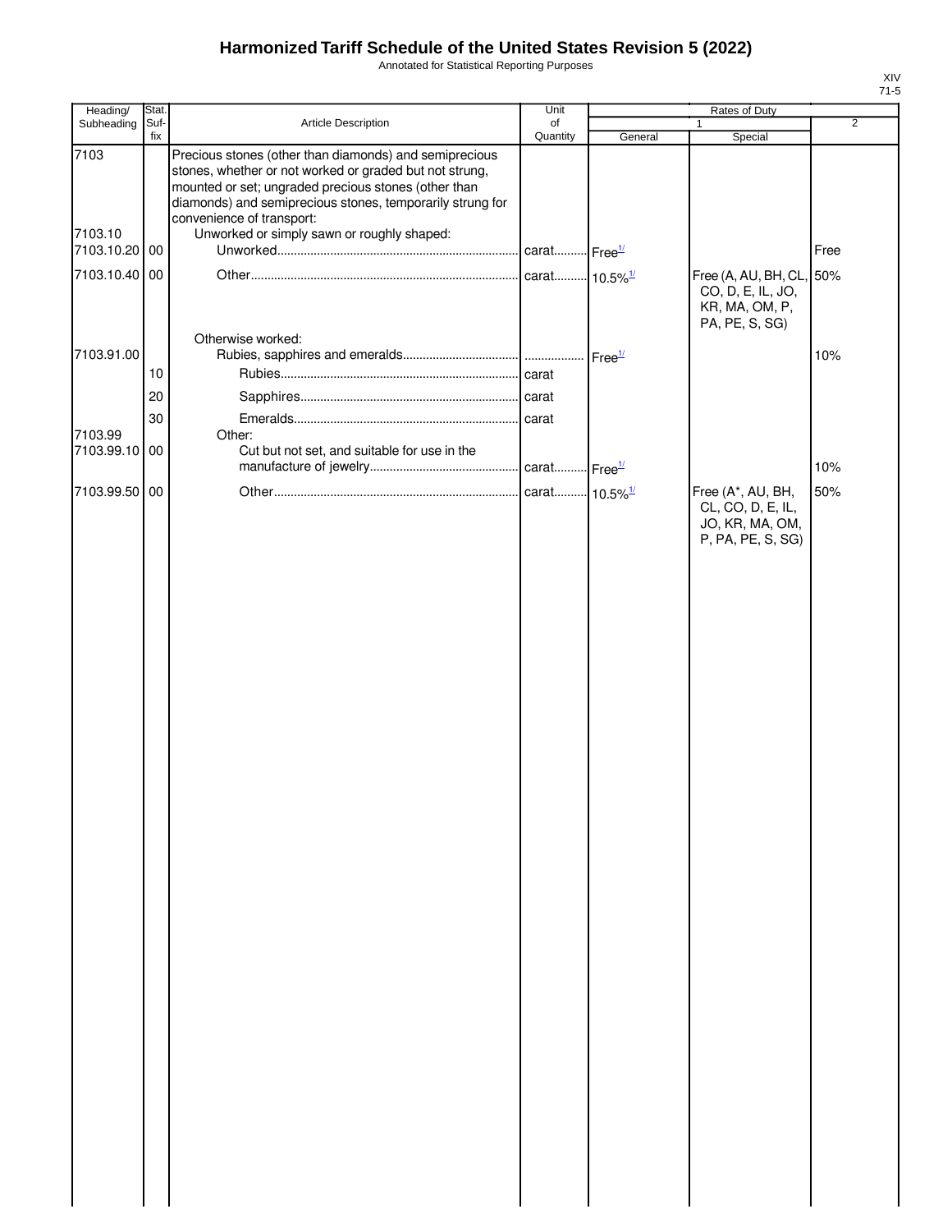Annotated for Statistical Reporting Purposes

| Heading/              | Stat.       |                                                                                                                                                                                                                                                                                                                   | Unit                      |                    | Rates of Duty                                                                     |                |
|-----------------------|-------------|-------------------------------------------------------------------------------------------------------------------------------------------------------------------------------------------------------------------------------------------------------------------------------------------------------------------|---------------------------|--------------------|-----------------------------------------------------------------------------------|----------------|
| Subheading            | Suf-<br>fix | Article Description                                                                                                                                                                                                                                                                                               | of<br>Quantity            | General            | Special                                                                           | $\overline{2}$ |
| 7103<br>7103.10       |             | Precious stones (other than diamonds) and semiprecious<br>stones, whether or not worked or graded but not strung,<br>mounted or set; ungraded precious stones (other than<br>diamonds) and semiprecious stones, temporarily strung for<br>convenience of transport:<br>Unworked or simply sawn or roughly shaped: |                           |                    |                                                                                   |                |
| 7103.10.20 00         |             |                                                                                                                                                                                                                                                                                                                   |                           |                    |                                                                                   | Free           |
| 7103.10.40 00         |             |                                                                                                                                                                                                                                                                                                                   | carat 10.5% <sup>1/</sup> |                    | Free (A, AU, BH, CL, 50%<br>CO, D, E, IL, JO,<br>KR, MA, OM, P,<br>PA, PE, S, SG) |                |
|                       |             | Otherwise worked:                                                                                                                                                                                                                                                                                                 |                           |                    |                                                                                   |                |
| 7103.91.00            |             |                                                                                                                                                                                                                                                                                                                   |                           | Free <sup>1/</sup> |                                                                                   | 10%            |
|                       | 10          |                                                                                                                                                                                                                                                                                                                   |                           |                    |                                                                                   |                |
|                       | 20          |                                                                                                                                                                                                                                                                                                                   |                           |                    |                                                                                   |                |
|                       | 30          |                                                                                                                                                                                                                                                                                                                   |                           |                    |                                                                                   |                |
| 7103.99<br>7103.99.10 | 00          | Other:<br>Cut but not set, and suitable for use in the                                                                                                                                                                                                                                                            | carat Free <sup>1/</sup>  |                    |                                                                                   | 10%            |
| 7103.99.50 00         |             |                                                                                                                                                                                                                                                                                                                   | carat 10.5% <sup>1/</sup> |                    | Free (A*, AU, BH,                                                                 | 50%            |
|                       |             |                                                                                                                                                                                                                                                                                                                   |                           |                    | CL, CO, D, E, IL,<br>JO, KR, MA, OM,<br>P, PA, PE, S, SG)                         |                |
|                       |             |                                                                                                                                                                                                                                                                                                                   |                           |                    |                                                                                   |                |
|                       |             |                                                                                                                                                                                                                                                                                                                   |                           |                    |                                                                                   |                |
|                       |             |                                                                                                                                                                                                                                                                                                                   |                           |                    |                                                                                   |                |
|                       |             |                                                                                                                                                                                                                                                                                                                   |                           |                    |                                                                                   |                |
|                       |             |                                                                                                                                                                                                                                                                                                                   |                           |                    |                                                                                   |                |
|                       |             |                                                                                                                                                                                                                                                                                                                   |                           |                    |                                                                                   |                |
|                       |             |                                                                                                                                                                                                                                                                                                                   |                           |                    |                                                                                   |                |
|                       |             |                                                                                                                                                                                                                                                                                                                   |                           |                    |                                                                                   |                |
|                       |             |                                                                                                                                                                                                                                                                                                                   |                           |                    |                                                                                   |                |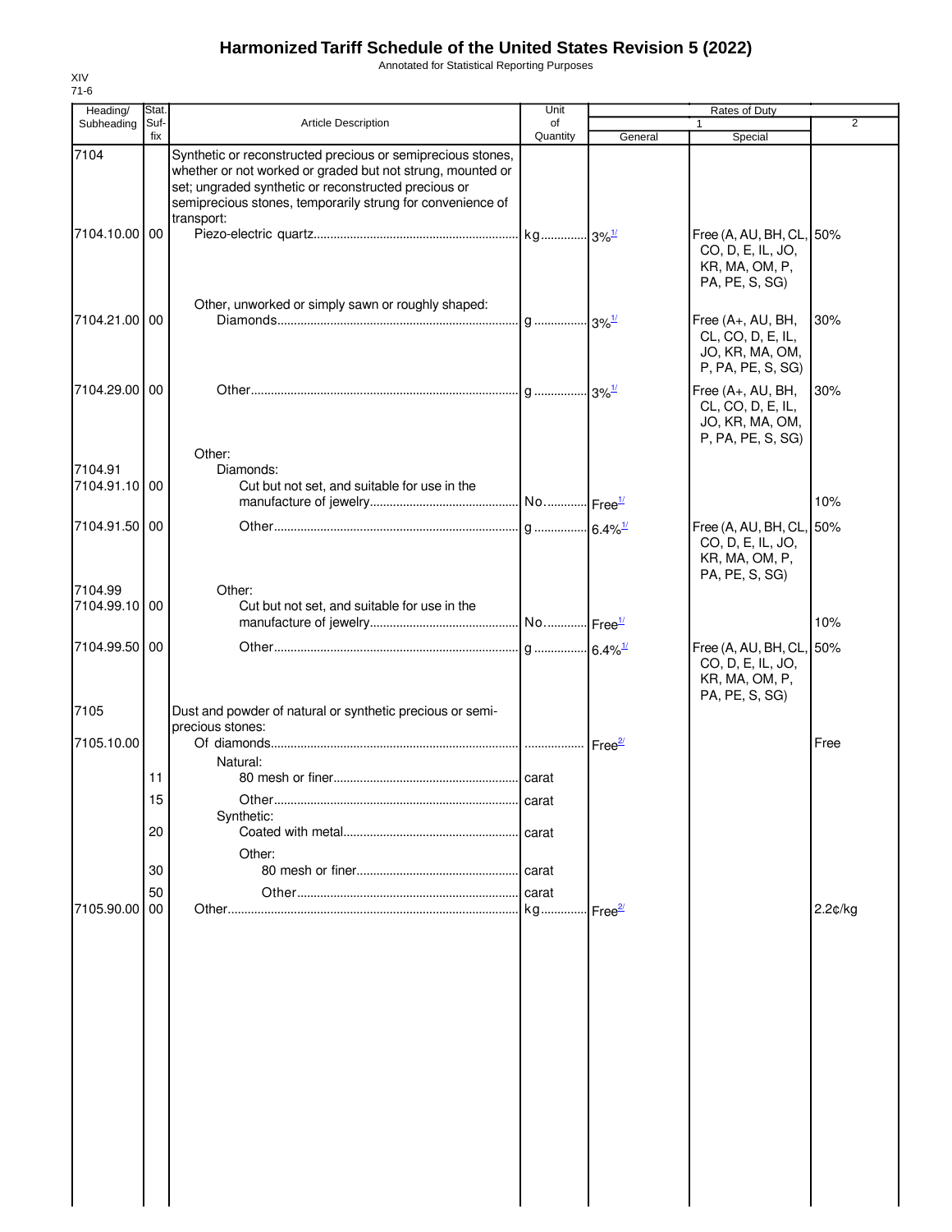Annotated for Statistical Reporting Purposes

| Heading/                 | Stat.       |                                                                                                                                                                                                                                                 | Unit           |                     | Rates of Duty                                                                     |                |
|--------------------------|-------------|-------------------------------------------------------------------------------------------------------------------------------------------------------------------------------------------------------------------------------------------------|----------------|---------------------|-----------------------------------------------------------------------------------|----------------|
| Subheading               | Suf-<br>fix | <b>Article Description</b>                                                                                                                                                                                                                      | of<br>Quantity | General             | 1<br>Special                                                                      | $\overline{2}$ |
| 7104                     |             | Synthetic or reconstructed precious or semiprecious stones,<br>whether or not worked or graded but not strung, mounted or<br>set; ungraded synthetic or reconstructed precious or<br>semiprecious stones, temporarily strung for convenience of |                |                     |                                                                                   |                |
| 7104.10.00 00            |             | transport:                                                                                                                                                                                                                                      |                |                     | Free (A, AU, BH, CL, 50%<br>CO, D, E, IL, JO,<br>KR, MA, OM, P,<br>PA, PE, S, SG) |                |
| 7104.21.00 00            |             | Other, unworked or simply sawn or roughly shaped:                                                                                                                                                                                               |                |                     | Free (A+, AU, BH,<br>CL, CO, D, E, IL,<br>JO, KR, MA, OM,<br>P, PA, PE, S, SG)    | 30%            |
| 7104.29.00 00            |             |                                                                                                                                                                                                                                                 |                |                     | Free (A+, AU, BH,<br>CL, CO, D, E, IL,<br>JO, KR, MA, OM,<br>P, PA, PE, S, SG)    | 30%            |
|                          |             | Other:                                                                                                                                                                                                                                          |                |                     |                                                                                   |                |
| 7104.91<br>7104.91.10 00 |             | Diamonds:<br>Cut but not set, and suitable for use in the                                                                                                                                                                                       |                |                     |                                                                                   |                |
|                          |             |                                                                                                                                                                                                                                                 |                |                     |                                                                                   | 10%            |
| 7104.91.50 00            |             |                                                                                                                                                                                                                                                 |                |                     | Free (A, AU, BH, CL, 50%<br>CO, D, E, IL, JO,<br>KR, MA, OM, P,<br>PA, PE, S, SG) |                |
| 7104.99<br>7104.99.10 00 |             | Other:<br>Cut but not set, and suitable for use in the                                                                                                                                                                                          |                |                     |                                                                                   |                |
|                          |             |                                                                                                                                                                                                                                                 |                |                     |                                                                                   | 10%            |
| 7104.99.50 00            |             |                                                                                                                                                                                                                                                 |                |                     | Free (A, AU, BH, CL, 50%<br>CO, D, E, IL, JO,<br>KR, MA, OM, P,                   |                |
| 7105                     |             | Dust and powder of natural or synthetic precious or semi-                                                                                                                                                                                       |                |                     | PA, PE, S, SG)                                                                    |                |
| 7105.10.00               |             | precious stones:                                                                                                                                                                                                                                |                | $Free^2$            |                                                                                   | Free           |
|                          | 11          | Natural:                                                                                                                                                                                                                                        |                |                     |                                                                                   |                |
|                          | 15          |                                                                                                                                                                                                                                                 | carat          |                     |                                                                                   |                |
|                          |             | Synthetic:                                                                                                                                                                                                                                      |                |                     |                                                                                   |                |
|                          | 20          | Other:                                                                                                                                                                                                                                          | . carat        |                     |                                                                                   |                |
|                          | 30          |                                                                                                                                                                                                                                                 |                |                     |                                                                                   |                |
|                          | 50          |                                                                                                                                                                                                                                                 | carat          |                     |                                                                                   |                |
| 7105.90.00               | 00          |                                                                                                                                                                                                                                                 | $kg$           | Free $\frac{27}{2}$ |                                                                                   | 2.2¢/kg        |
|                          |             |                                                                                                                                                                                                                                                 |                |                     |                                                                                   |                |
|                          |             |                                                                                                                                                                                                                                                 |                |                     |                                                                                   |                |
|                          |             |                                                                                                                                                                                                                                                 |                |                     |                                                                                   |                |
|                          |             |                                                                                                                                                                                                                                                 |                |                     |                                                                                   |                |
|                          |             |                                                                                                                                                                                                                                                 |                |                     |                                                                                   |                |
|                          |             |                                                                                                                                                                                                                                                 |                |                     |                                                                                   |                |
|                          |             |                                                                                                                                                                                                                                                 |                |                     |                                                                                   |                |
|                          |             |                                                                                                                                                                                                                                                 |                |                     |                                                                                   |                |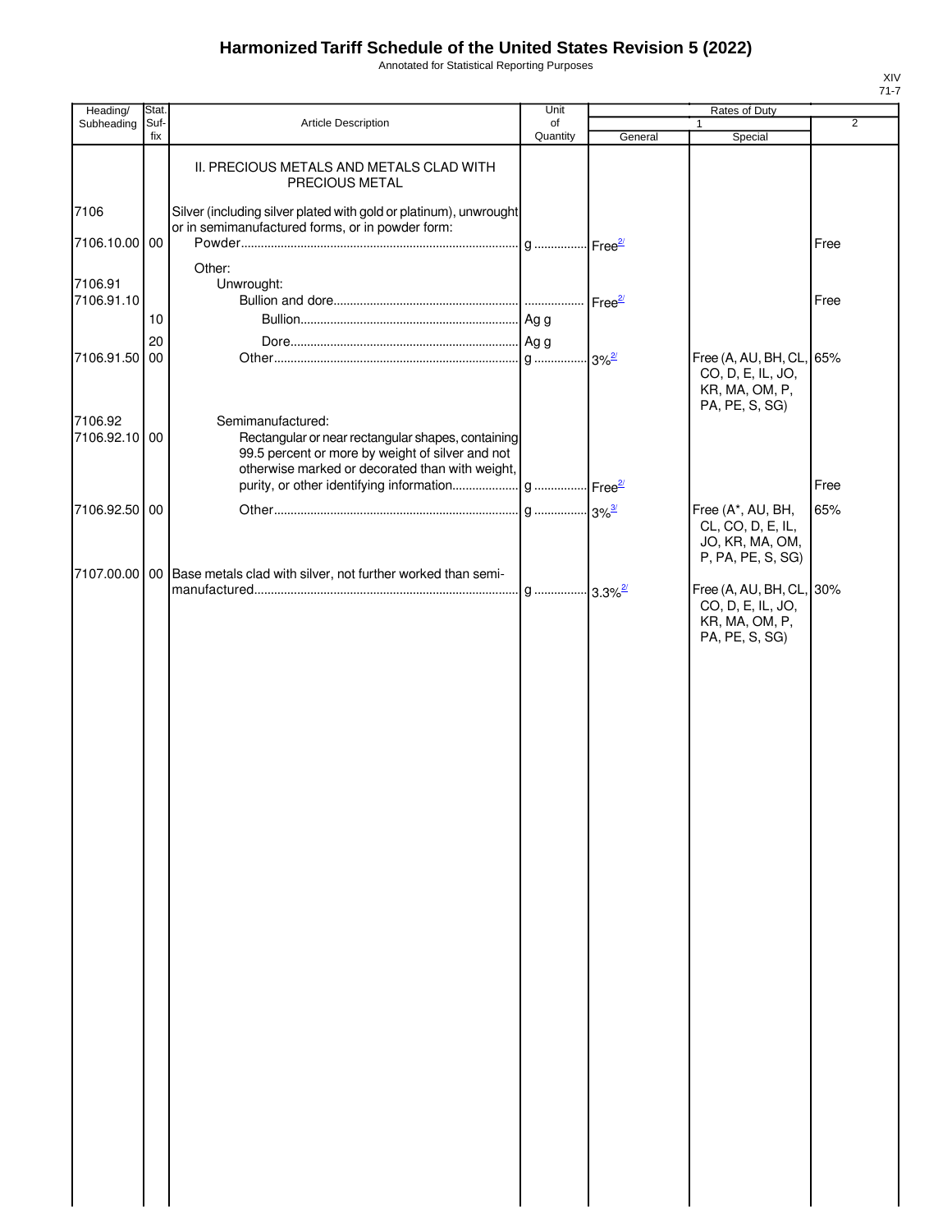Annotated for Statistical Reporting Purposes

| Heading/                 | Stat.       |                                                                                                                                                                                | Unit           |                    | Rates of Duty                                                                     |                |
|--------------------------|-------------|--------------------------------------------------------------------------------------------------------------------------------------------------------------------------------|----------------|--------------------|-----------------------------------------------------------------------------------|----------------|
| Subheading               | Suf-<br>fix | Article Description                                                                                                                                                            | of<br>Quantity | General            | $\mathbf{1}$<br>Special                                                           | $\overline{2}$ |
|                          |             | II. PRECIOUS METALS AND METALS CLAD WITH<br>PRECIOUS METAL                                                                                                                     |                |                    |                                                                                   |                |
| 7106                     |             | Silver (including silver plated with gold or platinum), unwrought<br>or in semimanufactured forms, or in powder form:                                                          |                |                    |                                                                                   |                |
| 7106.10.00 00            |             |                                                                                                                                                                                |                |                    |                                                                                   | Free           |
| 7106.91<br>7106.91.10    |             | Other:<br>Unwrought:                                                                                                                                                           |                | Free <sup>2/</sup> |                                                                                   | Free           |
|                          | 10          |                                                                                                                                                                                |                |                    |                                                                                   |                |
|                          | 20          |                                                                                                                                                                                |                |                    |                                                                                   |                |
| 7106.91.50 00            |             |                                                                                                                                                                                |                |                    | Free (A, AU, BH, CL, 65%<br>CO, D, E, IL, JO,<br>KR, MA, OM, P,<br>PA, PE, S, SG) |                |
| 7106.92<br>7106.92.10 00 |             | Semimanufactured:<br>Rectangular or near rectangular shapes, containing<br>99.5 percent or more by weight of silver and not<br>otherwise marked or decorated than with weight, |                |                    |                                                                                   |                |
|                          |             |                                                                                                                                                                                |                |                    |                                                                                   | Free           |
| 7106.92.50 00            |             |                                                                                                                                                                                |                |                    | Free (A*, AU, BH,                                                                 | 65%            |
|                          |             |                                                                                                                                                                                |                |                    | CL, CO, D, E, IL,<br>JO, KR, MA, OM,<br>P, PA, PE, S, SG)                         |                |
|                          |             | 7107.00.00   00   Base metals clad with silver, not further worked than semi-                                                                                                  |                |                    | Free (A, AU, BH, CL, 30%<br>CO, D, E, IL, JO,<br>KR, MA, OM, P,                   |                |
|                          |             |                                                                                                                                                                                |                |                    | PA, PE, S, SG)                                                                    |                |
|                          |             |                                                                                                                                                                                |                |                    |                                                                                   |                |
|                          |             |                                                                                                                                                                                |                |                    |                                                                                   |                |
|                          |             |                                                                                                                                                                                |                |                    |                                                                                   |                |
|                          |             |                                                                                                                                                                                |                |                    |                                                                                   |                |
|                          |             |                                                                                                                                                                                |                |                    |                                                                                   |                |
|                          |             |                                                                                                                                                                                |                |                    |                                                                                   |                |
|                          |             |                                                                                                                                                                                |                |                    |                                                                                   |                |
|                          |             |                                                                                                                                                                                |                |                    |                                                                                   |                |
|                          |             |                                                                                                                                                                                |                |                    |                                                                                   |                |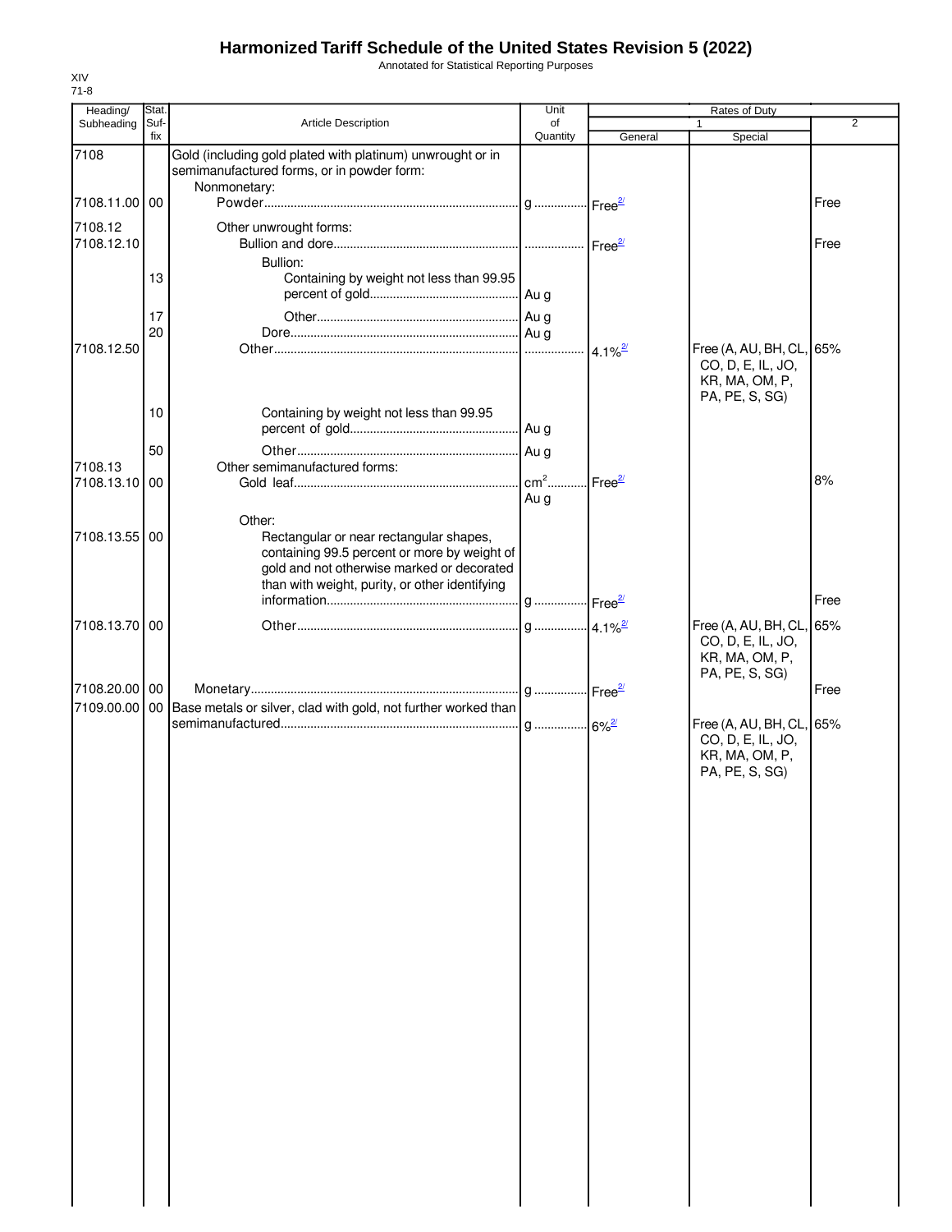Annotated for Statistical Reporting Purposes

| Heading/      | Stat.           |                                                                                                                                                                                                   | Unit           | Rates of Duty       |                                                                                   |                |
|---------------|-----------------|---------------------------------------------------------------------------------------------------------------------------------------------------------------------------------------------------|----------------|---------------------|-----------------------------------------------------------------------------------|----------------|
| Subheading    | Suf-<br>fix     | Article Description                                                                                                                                                                               | of<br>Quantity | General             | 1<br>Special                                                                      | $\overline{2}$ |
| 7108          |                 | Gold (including gold plated with platinum) unwrought or in<br>semimanufactured forms, or in powder form:<br>Nonmonetary:                                                                          |                |                     |                                                                                   |                |
| 7108.11.00 00 |                 |                                                                                                                                                                                                   |                |                     |                                                                                   | Free           |
| 7108.12       |                 | Other unwrought forms:                                                                                                                                                                            |                |                     |                                                                                   |                |
| 7108.12.10    |                 |                                                                                                                                                                                                   |                |                     |                                                                                   | Free           |
|               |                 | Bullion:                                                                                                                                                                                          |                |                     |                                                                                   |                |
|               | 13              | Containing by weight not less than 99.95                                                                                                                                                          |                |                     |                                                                                   |                |
|               | 17              |                                                                                                                                                                                                   |                |                     |                                                                                   |                |
|               | 20              |                                                                                                                                                                                                   |                |                     |                                                                                   |                |
| 7108.12.50    |                 |                                                                                                                                                                                                   |                |                     | Free (A, AU, BH, CL, 65%<br>CO, D, E, IL, JO,<br>KR, MA, OM, P,<br>PA, PE, S, SG) |                |
|               | 10              | Containing by weight not less than 99.95                                                                                                                                                          |                |                     |                                                                                   |                |
|               |                 |                                                                                                                                                                                                   |                |                     |                                                                                   |                |
| 7108.13       | 50              | Other semimanufactured forms:                                                                                                                                                                     |                |                     |                                                                                   |                |
| 7108.13.10    | 00              |                                                                                                                                                                                                   |                | Free $\frac{2l}{2}$ |                                                                                   | 8%             |
|               |                 |                                                                                                                                                                                                   | Au g           |                     |                                                                                   |                |
| 7108.13.55    | 00              | Other:<br>Rectangular or near rectangular shapes,<br>containing 99.5 percent or more by weight of<br>gold and not otherwise marked or decorated<br>than with weight, purity, or other identifying |                |                     |                                                                                   | Free           |
| 7108.13.70    | 00              |                                                                                                                                                                                                   |                |                     |                                                                                   |                |
|               |                 |                                                                                                                                                                                                   |                |                     | Free (A, AU, BH, CL, 65%<br>CO, D, E, IL, JO,<br>KR, MA, OM, P,<br>PA, PE, S, SG) |                |
| 7108.20.00 00 |                 |                                                                                                                                                                                                   |                |                     |                                                                                   | Free           |
| 7109.00.00    | 00 <sub>1</sub> | Base metals or silver, clad with gold, not further worked than                                                                                                                                    |                |                     |                                                                                   |                |
|               |                 |                                                                                                                                                                                                   |                |                     | Free (A, AU, BH, CL, 65%<br>CO, D, E, IL, JO,<br>KR, MA, OM, P,<br>PA, PE, S, SG) |                |
|               |                 |                                                                                                                                                                                                   |                |                     |                                                                                   |                |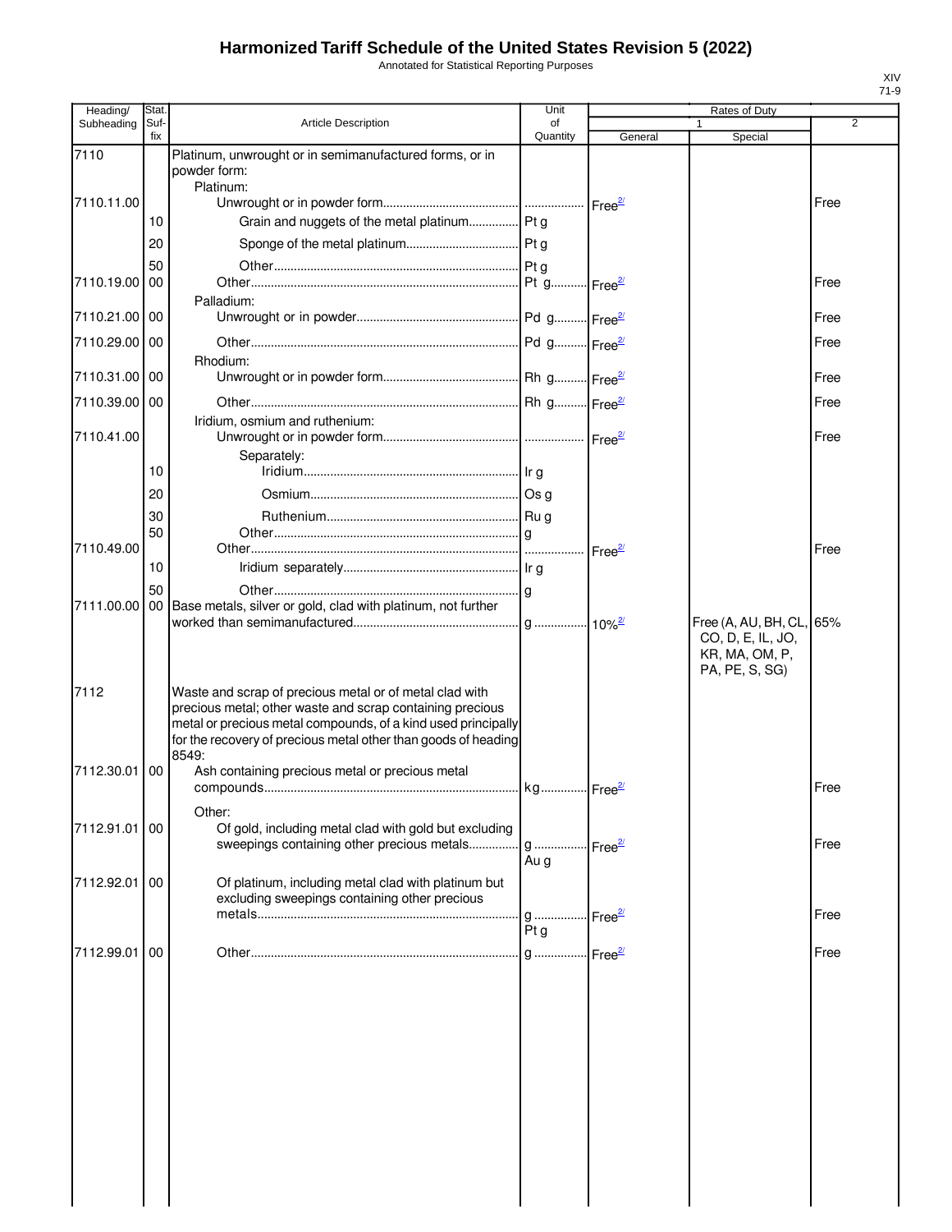Annotated for Statistical Reporting Purposes

| Heading/      | Stat.       |                                                                                                                                                                                                       | Unit                          |                    | Rates of Duty                                         |      |
|---------------|-------------|-------------------------------------------------------------------------------------------------------------------------------------------------------------------------------------------------------|-------------------------------|--------------------|-------------------------------------------------------|------|
| Subheading    | Suf-<br>fix | <b>Article Description</b>                                                                                                                                                                            | of<br>Quantity                |                    | $\mathbf{1}$                                          | 2    |
| 7110          |             | Platinum, unwrought or in semimanufactured forms, or in<br>powder form:                                                                                                                               |                               | General            | Special                                               |      |
|               |             | Platinum:                                                                                                                                                                                             |                               |                    |                                                       |      |
| 7110.11.00    |             |                                                                                                                                                                                                       |                               |                    |                                                       | Free |
|               | 10          | Grain and nuggets of the metal platinum Pt g                                                                                                                                                          |                               |                    |                                                       |      |
|               | 20          |                                                                                                                                                                                                       |                               |                    |                                                       |      |
|               | 50          |                                                                                                                                                                                                       |                               |                    |                                                       |      |
| 7110.19.00    | 00          |                                                                                                                                                                                                       |                               |                    |                                                       | Free |
| 7110.21.00 00 |             | Palladium:                                                                                                                                                                                            |                               |                    |                                                       | Free |
|               |             |                                                                                                                                                                                                       |                               |                    |                                                       |      |
| 7110.29.00    | 00          |                                                                                                                                                                                                       |                               |                    |                                                       | Free |
| 7110.31.00 00 |             | Rhodium:                                                                                                                                                                                              |                               |                    |                                                       | Free |
|               |             |                                                                                                                                                                                                       |                               |                    |                                                       |      |
| 7110.39.00 00 |             | Iridium, osmium and ruthenium:                                                                                                                                                                        |                               |                    |                                                       | Free |
| 7110.41.00    |             |                                                                                                                                                                                                       |                               |                    |                                                       | Free |
|               |             | Separately:                                                                                                                                                                                           |                               |                    |                                                       |      |
|               | 10          |                                                                                                                                                                                                       |                               |                    |                                                       |      |
|               | 20          |                                                                                                                                                                                                       |                               |                    |                                                       |      |
|               | 30          |                                                                                                                                                                                                       |                               |                    |                                                       |      |
|               | 50          |                                                                                                                                                                                                       |                               |                    |                                                       |      |
| 7110.49.00    |             |                                                                                                                                                                                                       |                               |                    |                                                       | Free |
|               | 10          |                                                                                                                                                                                                       |                               |                    |                                                       |      |
| 7111.00.00    | 50          | 00 Base metals, silver or gold, clad with platinum, not further                                                                                                                                       |                               |                    |                                                       |      |
|               |             |                                                                                                                                                                                                       |                               |                    | Free (A, AU, BH, CL, 65%                              |      |
| 7112          |             | Waste and scrap of precious metal or of metal clad with                                                                                                                                               |                               |                    | CO, D, E, IL, JO,<br>KR, MA, OM, P,<br>PA, PE, S, SG) |      |
|               |             | precious metal; other waste and scrap containing precious<br>metal or precious metal compounds, of a kind used principally<br>for the recovery of precious metal other than goods of heading<br>8549: |                               |                    |                                                       |      |
| 7112.30.01    | 00          | Ash containing precious metal or precious metal                                                                                                                                                       |                               |                    |                                                       | Free |
|               |             | Other:                                                                                                                                                                                                |                               |                    |                                                       |      |
| 7112.91.01    | 00          | Of gold, including metal clad with gold but excluding<br>sweepings containing other precious metals                                                                                                   |                               |                    |                                                       | Free |
|               |             |                                                                                                                                                                                                       | g<br>Au g                     | Free <sup>2/</sup> |                                                       |      |
| 7112.92.01    | 00          | Of platinum, including metal clad with platinum but                                                                                                                                                   |                               |                    |                                                       |      |
|               |             | excluding sweepings containing other precious                                                                                                                                                         |                               |                    |                                                       |      |
|               |             |                                                                                                                                                                                                       | g  Free <sup>2/</sup><br>Pt g |                    |                                                       | Free |
|               | 00          |                                                                                                                                                                                                       |                               |                    |                                                       |      |
| 7112.99.01    |             |                                                                                                                                                                                                       |                               |                    |                                                       | Free |
|               |             |                                                                                                                                                                                                       |                               |                    |                                                       |      |
|               |             |                                                                                                                                                                                                       |                               |                    |                                                       |      |
|               |             |                                                                                                                                                                                                       |                               |                    |                                                       |      |
|               |             |                                                                                                                                                                                                       |                               |                    |                                                       |      |
|               |             |                                                                                                                                                                                                       |                               |                    |                                                       |      |
|               |             |                                                                                                                                                                                                       |                               |                    |                                                       |      |
|               |             |                                                                                                                                                                                                       |                               |                    |                                                       |      |
|               |             |                                                                                                                                                                                                       |                               |                    |                                                       |      |
|               |             |                                                                                                                                                                                                       |                               |                    |                                                       |      |
|               |             |                                                                                                                                                                                                       |                               |                    |                                                       |      |
|               |             |                                                                                                                                                                                                       |                               |                    |                                                       |      |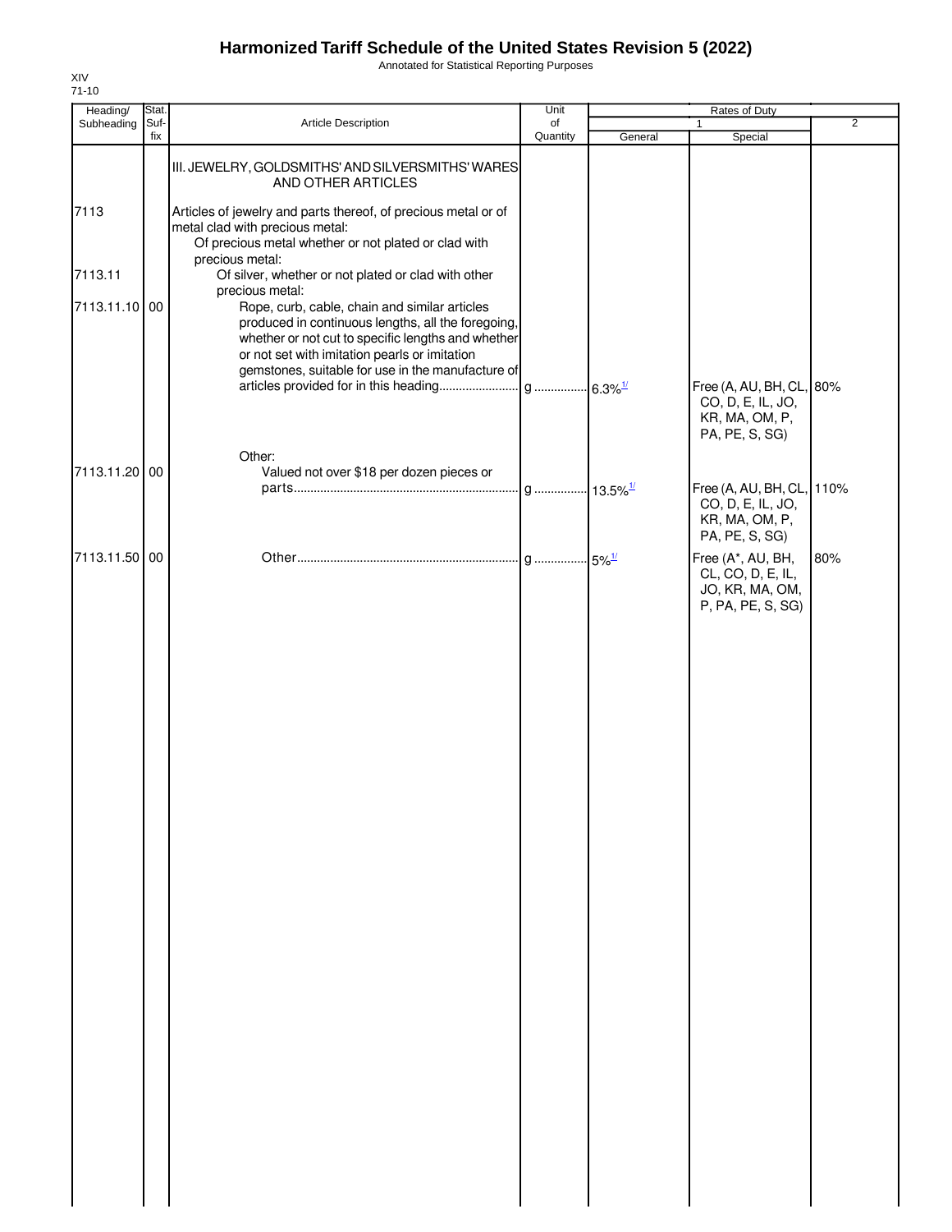Annotated for Statistical Reporting Purposes

| Heading/      | Stat.       |                                                                                                                                                                                                                                                                                    | Unit           |         | Rates of Duty                                                                      |                |
|---------------|-------------|------------------------------------------------------------------------------------------------------------------------------------------------------------------------------------------------------------------------------------------------------------------------------------|----------------|---------|------------------------------------------------------------------------------------|----------------|
| Subheading    | Suf-<br>fix | Article Description                                                                                                                                                                                                                                                                | of<br>Quantity | General | $\mathbf{1}$<br>Special                                                            | $\overline{2}$ |
|               |             | III. JEWELRY, GOLDSMITHS' AND SILVERSMITHS' WARES<br>AND OTHER ARTICLES                                                                                                                                                                                                            |                |         |                                                                                    |                |
| 7113          |             | Articles of jewelry and parts thereof, of precious metal or of<br>metal clad with precious metal:<br>Of precious metal whether or not plated or clad with                                                                                                                          |                |         |                                                                                    |                |
| 7113.11       |             | precious metal:<br>Of silver, whether or not plated or clad with other                                                                                                                                                                                                             |                |         |                                                                                    |                |
| 7113.11.10 00 |             | precious metal:<br>Rope, curb, cable, chain and similar articles<br>produced in continuous lengths, all the foregoing,<br>whether or not cut to specific lengths and whether<br>or not set with imitation pearls or imitation<br>gemstones, suitable for use in the manufacture of |                |         |                                                                                    |                |
|               |             |                                                                                                                                                                                                                                                                                    |                |         | Free (A, AU, BH, CL, 80%<br>CO, D, E, IL, JO,<br>KR, MA, OM, P,<br>PA, PE, S, SG)  |                |
| 7113.11.20 00 |             | Other:<br>Valued not over \$18 per dozen pieces or                                                                                                                                                                                                                                 |                |         |                                                                                    |                |
|               |             |                                                                                                                                                                                                                                                                                    |                |         | Free (A, AU, BH, CL, 110%<br>CO, D, E, IL, JO,<br>KR, MA, OM, P,<br>PA, PE, S, SG) |                |
| 7113.11.50 00 |             |                                                                                                                                                                                                                                                                                    |                |         | Free (A*, AU, BH,<br>CL, CO, D, E, IL,<br>JO, KR, MA, OM,<br>P, PA, PE, S, SG)     | 80%            |
|               |             |                                                                                                                                                                                                                                                                                    |                |         |                                                                                    |                |
|               |             |                                                                                                                                                                                                                                                                                    |                |         |                                                                                    |                |
|               |             |                                                                                                                                                                                                                                                                                    |                |         |                                                                                    |                |
|               |             |                                                                                                                                                                                                                                                                                    |                |         |                                                                                    |                |
|               |             |                                                                                                                                                                                                                                                                                    |                |         |                                                                                    |                |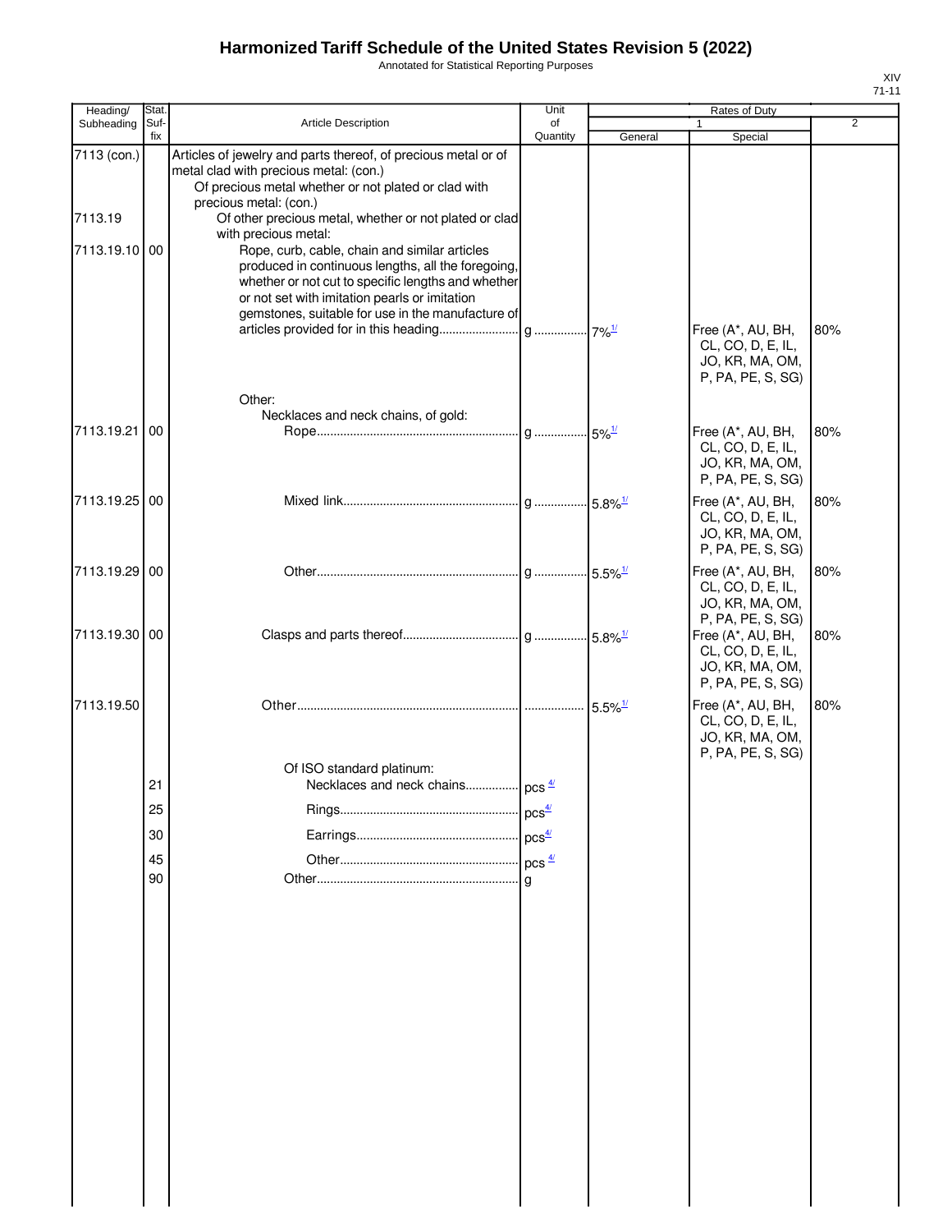Annotated for Statistical Reporting Purposes

| Heading/      | Stat.       |                                                                                                          | Unit              |         | Rates of Duty                          |     |
|---------------|-------------|----------------------------------------------------------------------------------------------------------|-------------------|---------|----------------------------------------|-----|
| Subheading    | Suf-<br>fix | <b>Article Description</b>                                                                               | of<br>Quantity    | General | $\mathbf{1}$<br>Special                | 2   |
| 7113 (con.)   |             | Articles of jewelry and parts thereof, of precious metal or of                                           |                   |         |                                        |     |
|               |             | metal clad with precious metal: (con.)                                                                   |                   |         |                                        |     |
|               |             | Of precious metal whether or not plated or clad with                                                     |                   |         |                                        |     |
| 7113.19       |             | precious metal: (con.)<br>Of other precious metal, whether or not plated or clad                         |                   |         |                                        |     |
|               |             | with precious metal:                                                                                     |                   |         |                                        |     |
| 7113.19.10    | 00          | Rope, curb, cable, chain and similar articles                                                            |                   |         |                                        |     |
|               |             | produced in continuous lengths, all the foregoing,<br>whether or not cut to specific lengths and whether |                   |         |                                        |     |
|               |             | or not set with imitation pearls or imitation                                                            |                   |         |                                        |     |
|               |             | gemstones, suitable for use in the manufacture of                                                        |                   |         |                                        |     |
|               |             |                                                                                                          |                   |         | Free (A*, AU, BH,<br>CL, CO, D, E, IL, | 80% |
|               |             |                                                                                                          |                   |         | JO, KR, MA, OM,                        |     |
|               |             |                                                                                                          |                   |         | P, PA, PE, S, SG)                      |     |
|               |             | Other:                                                                                                   |                   |         |                                        |     |
|               |             | Necklaces and neck chains, of gold:                                                                      |                   |         |                                        |     |
| 7113.19.21    | 00          |                                                                                                          |                   |         | Free (A*, AU, BH,<br>CL, CO, D, E, IL, | 80% |
|               |             |                                                                                                          |                   |         | JO, KR, MA, OM,                        |     |
|               |             |                                                                                                          |                   |         | P, PA, PE, S, SG)                      |     |
| 7113.19.25    | 00          |                                                                                                          |                   |         | Free (A*, AU, BH,                      | 80% |
|               |             |                                                                                                          |                   |         | CL, CO, D, E, IL,                      |     |
|               |             |                                                                                                          |                   |         | JO, KR, MA, OM,<br>P, PA, PE, S, SG)   |     |
| 7113.19.29    | 00          |                                                                                                          |                   |         | Free (A*, AU, BH,                      | 80% |
|               |             |                                                                                                          |                   |         | CL, CO, D, E, IL,                      |     |
|               |             |                                                                                                          |                   |         | JO, KR, MA, OM,                        |     |
|               |             |                                                                                                          |                   |         | P, PA, PE, S, SG)                      |     |
| 7113.19.30 00 |             |                                                                                                          |                   |         | Free (A*, AU, BH,<br>CL, CO, D, E, IL, | 80% |
|               |             |                                                                                                          |                   |         | JO, KR, MA, OM,                        |     |
|               |             |                                                                                                          |                   |         | P, PA, PE, S, SG)                      |     |
| 7113.19.50    |             |                                                                                                          |                   |         | Free (A*, AU, BH,                      | 80% |
|               |             |                                                                                                          |                   |         | CL, CO, D, E, IL,<br>JO, KR, MA, OM,   |     |
|               |             |                                                                                                          |                   |         | P, PA, PE, S, SG)                      |     |
|               |             | Of ISO standard platinum:                                                                                |                   |         |                                        |     |
|               | 21          | Necklaces and neck chains  pcs 4/                                                                        |                   |         |                                        |     |
|               | 25          |                                                                                                          | pcs <sup>4/</sup> |         |                                        |     |
|               | 30          |                                                                                                          | pcs <sup>4/</sup> |         |                                        |     |
|               | 45          |                                                                                                          | $pcs \frac{4}{2}$ |         |                                        |     |
|               | 90          |                                                                                                          | g                 |         |                                        |     |
|               |             |                                                                                                          |                   |         |                                        |     |
|               |             |                                                                                                          |                   |         |                                        |     |
|               |             |                                                                                                          |                   |         |                                        |     |
|               |             |                                                                                                          |                   |         |                                        |     |
|               |             |                                                                                                          |                   |         |                                        |     |
|               |             |                                                                                                          |                   |         |                                        |     |
|               |             |                                                                                                          |                   |         |                                        |     |
|               |             |                                                                                                          |                   |         |                                        |     |
|               |             |                                                                                                          |                   |         |                                        |     |
|               |             |                                                                                                          |                   |         |                                        |     |
|               |             |                                                                                                          |                   |         |                                        |     |
|               |             |                                                                                                          |                   |         |                                        |     |
|               |             |                                                                                                          |                   |         |                                        |     |
|               |             |                                                                                                          |                   |         |                                        |     |
|               |             |                                                                                                          |                   |         |                                        |     |
|               |             |                                                                                                          |                   |         |                                        |     |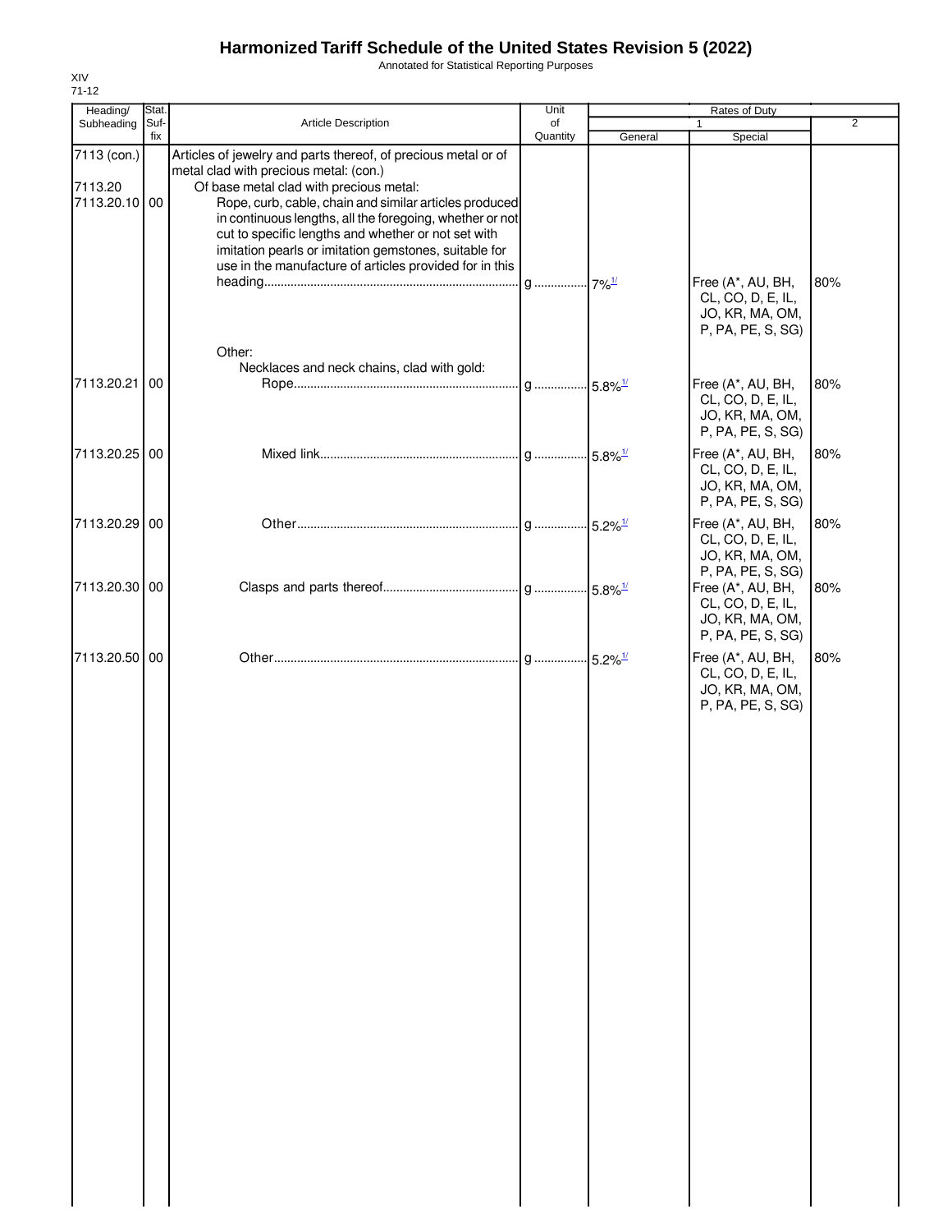Annotated for Statistical Reporting Purposes

| Heading/                                | Stat. |                                                                                                                                                                                                                                                                                                                                                                                           | Unit     | Rates of Duty |                                                                                |                |
|-----------------------------------------|-------|-------------------------------------------------------------------------------------------------------------------------------------------------------------------------------------------------------------------------------------------------------------------------------------------------------------------------------------------------------------------------------------------|----------|---------------|--------------------------------------------------------------------------------|----------------|
| Subheading                              | Suf-  | Article Description                                                                                                                                                                                                                                                                                                                                                                       | of       |               |                                                                                | $\overline{2}$ |
| 7113 (con.)<br>7113.20<br>7113.20.10 00 | fix   | Articles of jewelry and parts thereof, of precious metal or of<br>metal clad with precious metal: (con.)<br>Of base metal clad with precious metal:<br>Rope, curb, cable, chain and similar articles produced<br>in continuous lengths, all the foregoing, whether or not<br>cut to specific lengths and whether or not set with<br>imitation pearls or imitation gemstones, suitable for | Quantity | General       | Special                                                                        |                |
|                                         |       | use in the manufacture of articles provided for in this<br>Other:                                                                                                                                                                                                                                                                                                                         |          |               | Free (A*, AU, BH,<br>CL, CO, D, E, IL,<br>JO, KR, MA, OM,<br>P, PA, PE, S, SG) | 80%            |
| 7113.20.21                              | 00    | Necklaces and neck chains, clad with gold:                                                                                                                                                                                                                                                                                                                                                |          |               | Free (A*, AU, BH,<br>CL, CO, D, E, IL,<br>JO, KR, MA, OM,<br>P, PA, PE, S, SG) | 80%            |
| 7113.20.25 00                           |       |                                                                                                                                                                                                                                                                                                                                                                                           |          |               | Free (A*, AU, BH,<br>CL, CO, D, E, IL,<br>JO, KR, MA, OM,<br>P, PA, PE, S, SG) | 80%            |
| 7113.20.29 00                           |       |                                                                                                                                                                                                                                                                                                                                                                                           |          |               | Free (A*, AU, BH,<br>CL, CO, D, E, IL,<br>JO, KR, MA, OM,<br>P, PA, PE, S, SG) | 80%            |
| 7113.20.30 00                           |       |                                                                                                                                                                                                                                                                                                                                                                                           |          |               | Free (A*, AU, BH,<br>CL, CO, D, E, IL,<br>JO, KR, MA, OM,<br>P, PA, PE, S, SG) | 80%            |
| 7113.20.50 00                           |       |                                                                                                                                                                                                                                                                                                                                                                                           |          |               | Free (A*, AU, BH,<br>CL, CO, D, E, IL,<br>JO, KR, MA, OM,<br>P, PA, PE, S, SG) | 80%            |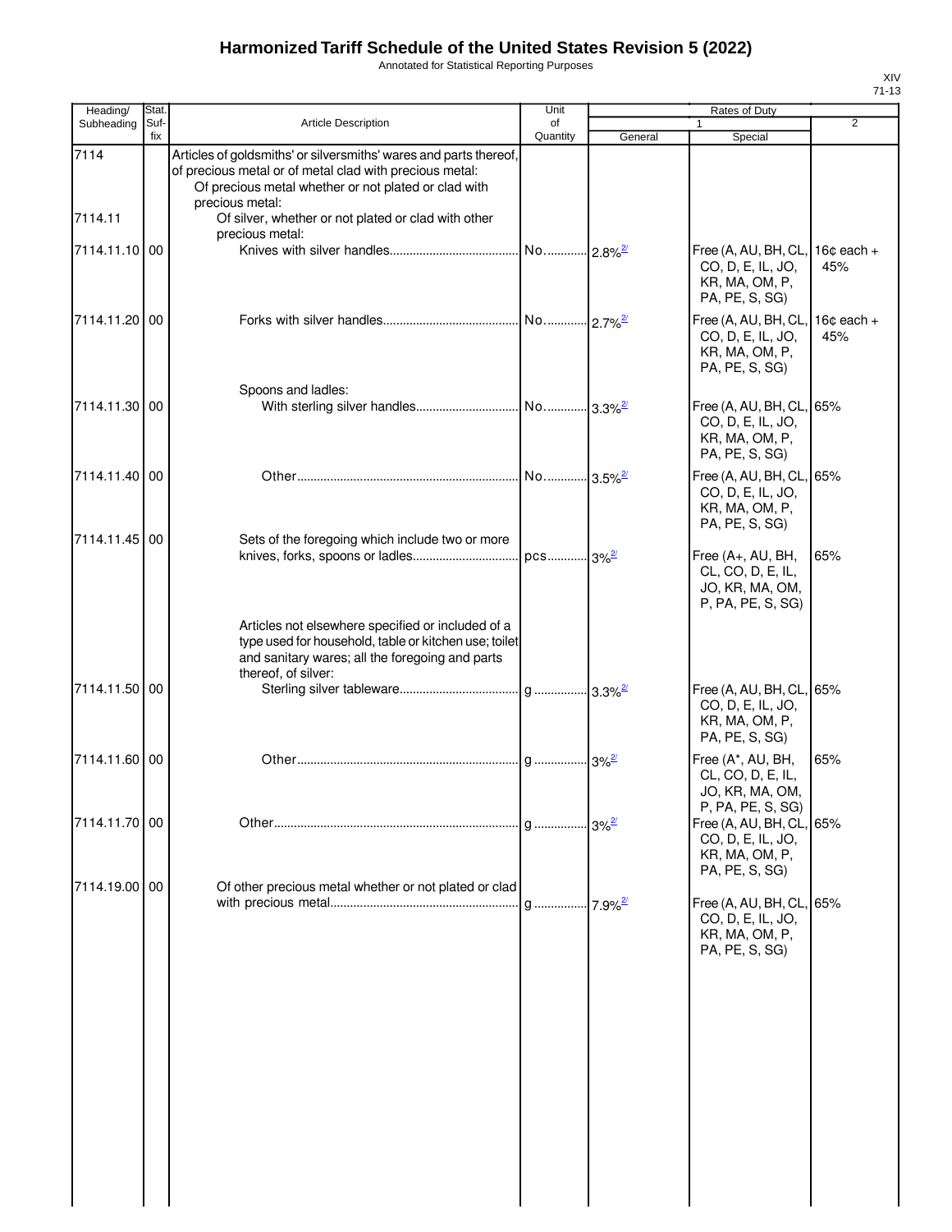Annotated for Statistical Reporting Purposes

| Heading/        | Stat.       |                                                                                                                                                                                                                                                                | Unit                  |         | Rates of Duty                                                                     |                     |
|-----------------|-------------|----------------------------------------------------------------------------------------------------------------------------------------------------------------------------------------------------------------------------------------------------------------|-----------------------|---------|-----------------------------------------------------------------------------------|---------------------|
| Subheading      | Suf-<br>fix | <b>Article Description</b>                                                                                                                                                                                                                                     | of<br>Quantity        | General | $\mathbf{1}$<br>Special                                                           | $\overline{2}$      |
| 7114<br>7114.11 |             | Articles of goldsmiths' or silversmiths' wares and parts thereof,<br>of precious metal or of metal clad with precious metal:<br>Of precious metal whether or not plated or clad with<br>precious metal:<br>Of silver, whether or not plated or clad with other |                       |         |                                                                                   |                     |
|                 |             | precious metal:                                                                                                                                                                                                                                                |                       |         |                                                                                   |                     |
| 7114.11.10 00   |             |                                                                                                                                                                                                                                                                | No 2.8% <sup>27</sup> |         | Free (A, AU, BH, CL,<br>CO, D, E, IL, JO,<br>KR, MA, OM, P,<br>PA, PE, S, SG)     | $16¢$ each +<br>45% |
| 7114.11.20 00   |             |                                                                                                                                                                                                                                                                | No 2.7% <sup>27</sup> |         | Free (A, AU, BH, CL,<br>CO, D, E, IL, JO,<br>KR, MA, OM, P,<br>PA, PE, S, SG)     | $16¢$ each +<br>45% |
| 7114.11.30 00   |             | Spoons and ladles:                                                                                                                                                                                                                                             |                       |         | Free (A, AU, BH, CL, 65%<br>CO, D, E, IL, JO,<br>KR, MA, OM, P,<br>PA, PE, S, SG) |                     |
| 7114.11.40 00   |             |                                                                                                                                                                                                                                                                |                       |         | Free (A, AU, BH, CL, 65%<br>CO, D, E, IL, JO,<br>KR, MA, OM, P,<br>PA, PE, S, SG) |                     |
| 7114.11.45 00   |             | Sets of the foregoing which include two or more                                                                                                                                                                                                                |                       |         | Free (A+, AU, BH,<br>CL, CO, D, E, IL,<br>JO, KR, MA, OM,<br>P, PA, PE, S, SG)    | 65%                 |
|                 |             | Articles not elsewhere specified or included of a<br>type used for household, table or kitchen use; toilet<br>and sanitary wares; all the foregoing and parts<br>thereof, of silver:                                                                           |                       |         |                                                                                   |                     |
| 7114.11.50 00   |             |                                                                                                                                                                                                                                                                |                       |         | Free (A, AU, BH, CL, 65%<br>CO, D, E, IL, JO,<br>KR, MA, OM, P,<br>PA, PE, S, SG) |                     |
| 7114.11.60 00   |             |                                                                                                                                                                                                                                                                |                       |         | Free (A*, AU, BH,<br>CL, CO, D, E, IL,<br>JO, KR, MA, OM,<br>P, PA, PE, S, SG)    | 65%                 |
| 7114.11.70 00   |             |                                                                                                                                                                                                                                                                |                       |         | Free (A, AU, BH, CL, 65%<br>CO, D, E, IL, JO,<br>KR, MA, OM, P,<br>PA, PE, S, SG) |                     |
| 7114.19.00 00   |             | Of other precious metal whether or not plated or clad                                                                                                                                                                                                          |                       |         | Free (A, AU, BH, CL, 65%<br>CO, D, E, IL, JO,<br>KR, MA, OM, P,<br>PA, PE, S, SG) |                     |
|                 |             |                                                                                                                                                                                                                                                                |                       |         |                                                                                   |                     |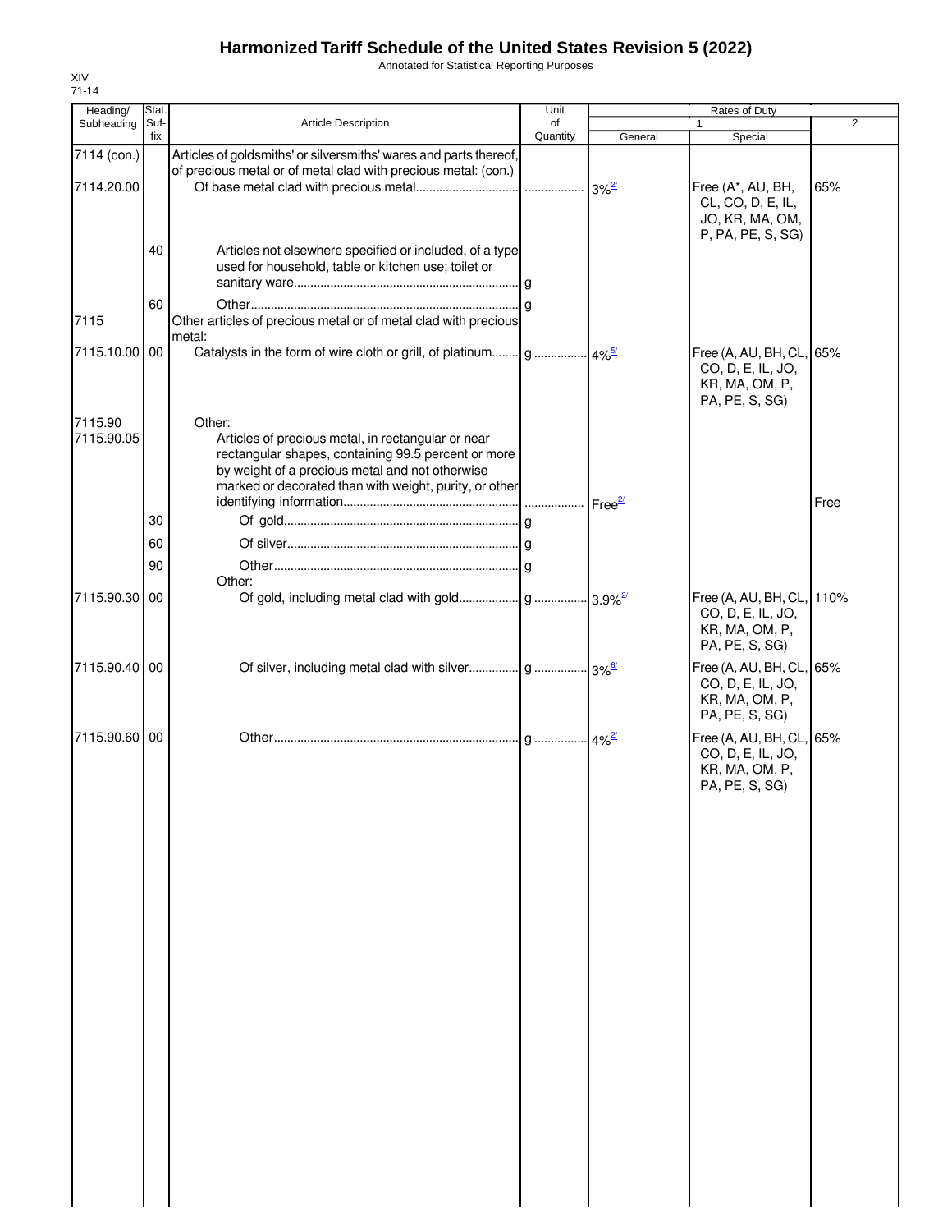Annotated for Statistical Reporting Purposes

| Heading/                  | Stat.           |                                                                                                                                                                                                                                  | Unit           |                     | Rates of Duty                                                                     |                |
|---------------------------|-----------------|----------------------------------------------------------------------------------------------------------------------------------------------------------------------------------------------------------------------------------|----------------|---------------------|-----------------------------------------------------------------------------------|----------------|
| Subheading                | Suf-<br>fix     | Article Description                                                                                                                                                                                                              | of<br>Quantity | General             | $\mathbf{1}$<br>Special                                                           | $\overline{2}$ |
| 7114 (con.)<br>7114.20.00 |                 | Articles of goldsmiths' or silversmiths' wares and parts thereof,<br>of precious metal or of metal clad with precious metal: (con.)                                                                                              |                | $3\%$ <sup>2/</sup> | Free (A*, AU, BH,<br>CL, CO, D, E, IL,<br>JO, KR, MA, OM,                         | 65%            |
|                           | 40              | Articles not elsewhere specified or included, of a type<br>used for household, table or kitchen use; toilet or                                                                                                                   |                |                     | P, PA, PE, S, SG)                                                                 |                |
| 7115                      | 60              | Other articles of precious metal or of metal clad with precious<br>metal:                                                                                                                                                        |                |                     |                                                                                   |                |
| 7115.10.00                | 00 <sup>1</sup> |                                                                                                                                                                                                                                  |                |                     | Free (A, AU, BH, CL, 65%<br>CO, D, E, IL, JO,<br>KR, MA, OM, P,<br>PA, PE, S, SG) |                |
| 7115.90<br>7115.90.05     |                 | Other:<br>Articles of precious metal, in rectangular or near<br>rectangular shapes, containing 99.5 percent or more<br>by weight of a precious metal and not otherwise<br>marked or decorated than with weight, purity, or other |                |                     |                                                                                   |                |
|                           | 30              |                                                                                                                                                                                                                                  |                | Free <sup>27</sup>  |                                                                                   | Free           |
|                           | 60<br>90        |                                                                                                                                                                                                                                  |                |                     |                                                                                   |                |
| 7115.90.30 00             |                 | Other:                                                                                                                                                                                                                           |                |                     | Free (A, AU, BH, CL, 110%                                                         |                |
|                           |                 |                                                                                                                                                                                                                                  |                |                     | CO, D, E, IL, JO,<br>KR, MA, OM, P,<br>PA, PE, S, SG)                             |                |
| 7115.90.40 00             |                 |                                                                                                                                                                                                                                  |                |                     | Free (A, AU, BH, CL, 65%<br>CO, D, E, IL, JO,<br>KR, MA, OM, P,<br>PA, PE, S, SG) |                |
| 7115.90.60 00             |                 |                                                                                                                                                                                                                                  |                |                     | Free (A, AU, BH, CL, 65%<br>CO, D, E, IL, JO,<br>KR, MA, OM, P,<br>PA, PE, S, SG) |                |
|                           |                 |                                                                                                                                                                                                                                  |                |                     |                                                                                   |                |
|                           |                 |                                                                                                                                                                                                                                  |                |                     |                                                                                   |                |
|                           |                 |                                                                                                                                                                                                                                  |                |                     |                                                                                   |                |
|                           |                 |                                                                                                                                                                                                                                  |                |                     |                                                                                   |                |
|                           |                 |                                                                                                                                                                                                                                  |                |                     |                                                                                   |                |
|                           |                 |                                                                                                                                                                                                                                  |                |                     |                                                                                   |                |
|                           |                 |                                                                                                                                                                                                                                  |                |                     |                                                                                   |                |
|                           |                 |                                                                                                                                                                                                                                  |                |                     |                                                                                   |                |
|                           |                 |                                                                                                                                                                                                                                  |                |                     |                                                                                   |                |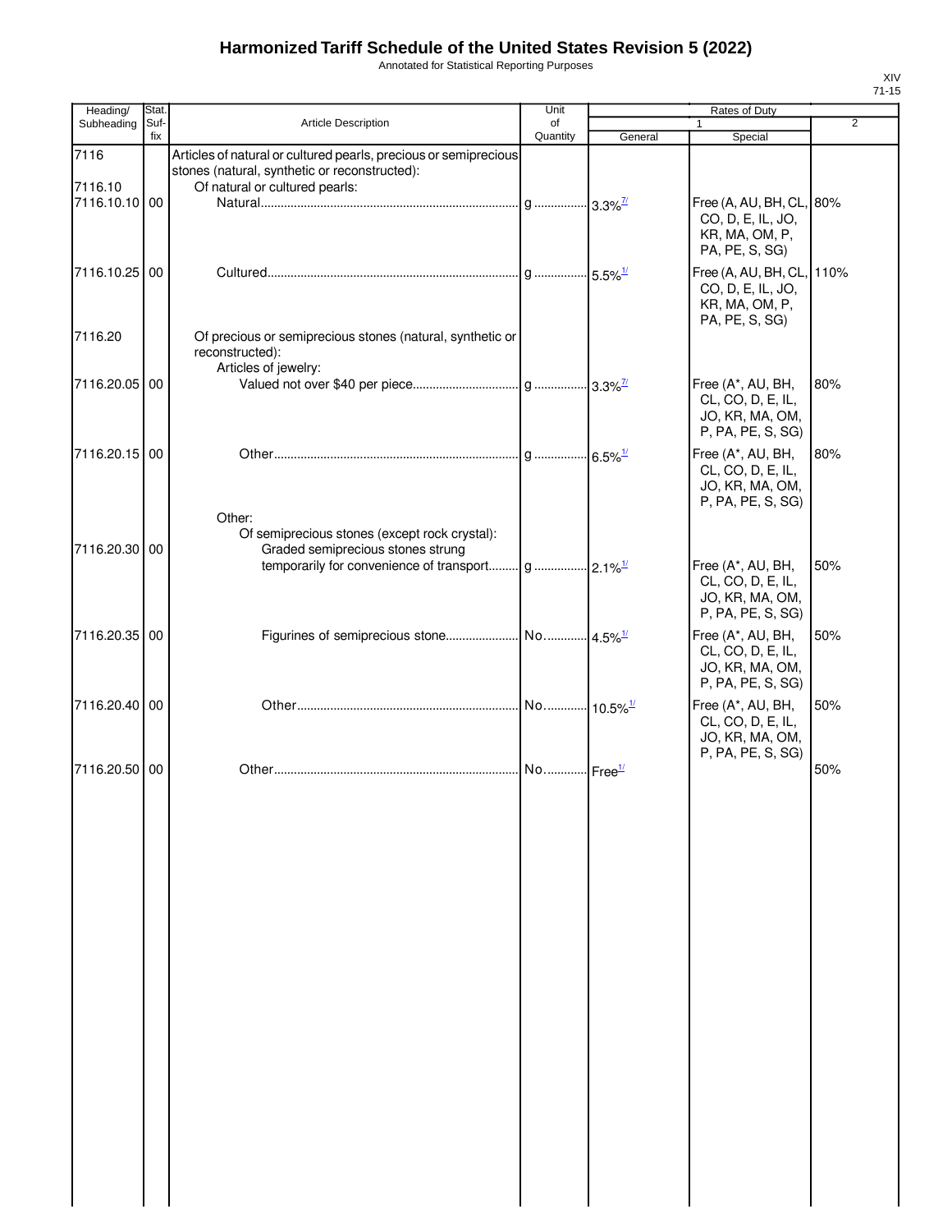Annotated for Statistical Reporting Purposes

| Heading/                 | Stat. |                                                                                                                   | Unit                   |         | Rates of Duty                                                                                       |     |
|--------------------------|-------|-------------------------------------------------------------------------------------------------------------------|------------------------|---------|-----------------------------------------------------------------------------------------------------|-----|
| Subheading               | Suf-  | <b>Article Description</b>                                                                                        | of                     |         |                                                                                                     | 2   |
| 7116                     | fix   | Articles of natural or cultured pearls, precious or semiprecious<br>stones (natural, synthetic or reconstructed): | Quantity               | General | Special                                                                                             |     |
| 7116.10<br>7116.10.10 00 |       | Of natural or cultured pearls:                                                                                    |                        |         | Free (A, AU, BH, CL, 80%<br>CO, D, E, IL, JO,<br>KR, MA, OM, P,<br>PA, PE, S, SG)                   |     |
| 7116.10.25 00            |       |                                                                                                                   |                        |         | Free (A, AU, BH, CL, 110%<br>CO, D, E, IL, JO,<br>KR, MA, OM, P,<br>PA, PE, S, SG)                  |     |
| 7116.20                  |       | Of precious or semiprecious stones (natural, synthetic or<br>reconstructed):<br>Articles of jewelry:              |                        |         |                                                                                                     |     |
| 7116.20.05 00            |       |                                                                                                                   |                        |         | Free (A*, AU, BH,<br>CL, CO, D, E, IL,<br>JO, KR, MA, OM,<br>P, PA, PE, S, SG)                      | 80% |
| 7116.20.15 00            |       | Other:                                                                                                            |                        |         | Free (A*, AU, BH,<br>CL, CO, D, E, IL,<br>JO, KR, MA, OM,<br>P, PA, PE, S, SG)                      | 80% |
| 7116.20.30 00            |       | Of semiprecious stones (except rock crystal):<br>Graded semiprecious stones strung                                |                        |         | Free (A*, AU, BH,<br>CL, CO, D, E, IL,<br>JO, KR, MA, OM,                                           | 50% |
| 7116.20.35 00            |       |                                                                                                                   |                        |         | P, PA, PE, S, SG)<br>Free (A*, AU, BH,<br>CL, CO, D, E, IL,<br>JO, KR, MA, OM,<br>P, PA, PE, S, SG) | 50% |
| 7116.20.40 00            |       |                                                                                                                   | No 10.5% <sup>1/</sup> |         | Free (A*, AU, BH,<br>CL, CO, D, E, IL,<br>JO, KR, MA, OM,                                           | 50% |
| 7116.20.50 00            |       |                                                                                                                   | No Free <sup>1/</sup>  |         | P, PA, PE, S, SG)                                                                                   | 50% |
|                          |       |                                                                                                                   |                        |         |                                                                                                     |     |
|                          |       |                                                                                                                   |                        |         |                                                                                                     |     |
|                          |       |                                                                                                                   |                        |         |                                                                                                     |     |
|                          |       |                                                                                                                   |                        |         |                                                                                                     |     |
|                          |       |                                                                                                                   |                        |         |                                                                                                     |     |

 $\overline{\phantom{a}}$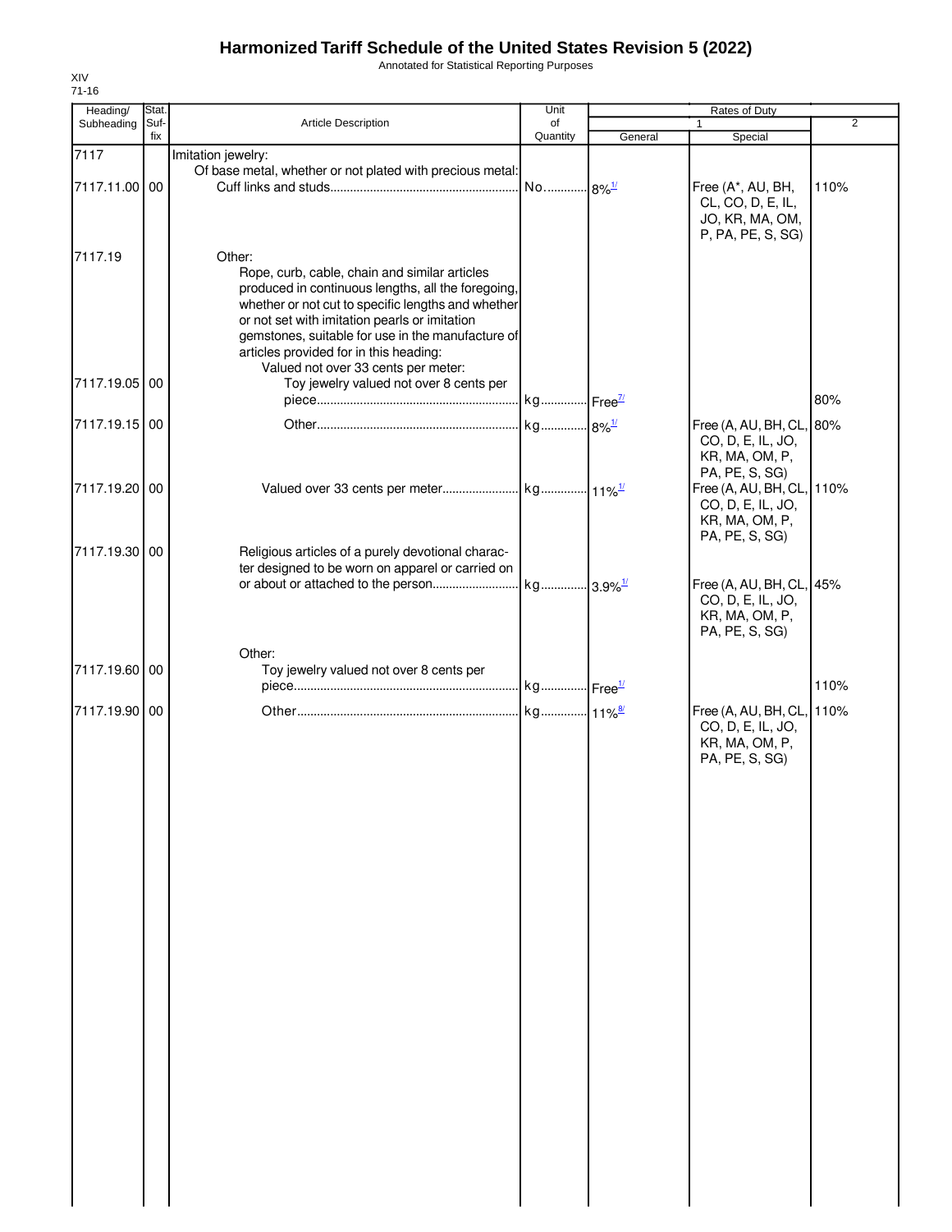Annotated for Statistical Reporting Purposes

| Suf-<br>Article Description<br>fix<br>Imitation jewelry:<br>Of base metal, whether or not plated with precious metal:<br>00<br>Other:<br>Rope, curb, cable, chain and similar articles<br>produced in continuous lengths, all the foregoing,<br>whether or not cut to specific lengths and whether<br>or not set with imitation pearls or imitation<br>gemstones, suitable for use in the manufacture of<br>articles provided for in this heading:<br>Valued not over 33 cents per meter:<br>7117.19.05 00<br>Toy jewelry valued not over 8 cents per<br>7117.19.15 00<br>7117.19.20 00 | of<br>Quantity                                   | General | $\mathbf{1}$<br>Special<br>Free (A*, AU, BH,<br>CL, CO, D, E, IL,<br>JO, KR, MA, OM,<br>P, PA, PE, S, SG)<br>Free (A, AU, BH, CL, 80%<br>CO, D, E, IL, JO,<br>KR, MA, OM, P, | 2<br>110%<br>80% |
|-----------------------------------------------------------------------------------------------------------------------------------------------------------------------------------------------------------------------------------------------------------------------------------------------------------------------------------------------------------------------------------------------------------------------------------------------------------------------------------------------------------------------------------------------------------------------------------------|--------------------------------------------------|---------|------------------------------------------------------------------------------------------------------------------------------------------------------------------------------|------------------|
|                                                                                                                                                                                                                                                                                                                                                                                                                                                                                                                                                                                         |                                                  |         |                                                                                                                                                                              |                  |
|                                                                                                                                                                                                                                                                                                                                                                                                                                                                                                                                                                                         |                                                  |         |                                                                                                                                                                              |                  |
|                                                                                                                                                                                                                                                                                                                                                                                                                                                                                                                                                                                         |                                                  |         |                                                                                                                                                                              |                  |
|                                                                                                                                                                                                                                                                                                                                                                                                                                                                                                                                                                                         |                                                  |         |                                                                                                                                                                              |                  |
|                                                                                                                                                                                                                                                                                                                                                                                                                                                                                                                                                                                         |                                                  |         |                                                                                                                                                                              |                  |
|                                                                                                                                                                                                                                                                                                                                                                                                                                                                                                                                                                                         |                                                  |         |                                                                                                                                                                              |                  |
|                                                                                                                                                                                                                                                                                                                                                                                                                                                                                                                                                                                         |                                                  |         | PA, PE, S, SG)                                                                                                                                                               |                  |
|                                                                                                                                                                                                                                                                                                                                                                                                                                                                                                                                                                                         |                                                  |         | Free (A, AU, BH, CL, 110%<br>CO, D, E, IL, JO,<br>KR, MA, OM, P,<br>PA, PE, S, SG)                                                                                           |                  |
| 7117.19.30 00<br>Religious articles of a purely devotional charac-                                                                                                                                                                                                                                                                                                                                                                                                                                                                                                                      |                                                  |         |                                                                                                                                                                              |                  |
|                                                                                                                                                                                                                                                                                                                                                                                                                                                                                                                                                                                         |                                                  |         | Free (A, AU, BH, CL, 45%<br>CO, D, E, IL, JO,<br>KR, MA, OM, P,<br>PA, PE, S, SG)                                                                                            |                  |
| Other:<br>7117.19.60 00<br>Toy jewelry valued not over 8 cents per                                                                                                                                                                                                                                                                                                                                                                                                                                                                                                                      |                                                  |         |                                                                                                                                                                              | 110%             |
| 7117.19.90 00                                                                                                                                                                                                                                                                                                                                                                                                                                                                                                                                                                           |                                                  |         | Free (A, AU, BH, CL, 110%<br>CO, D, E, IL, JO,<br>KR, MA, OM, P,<br>PA, PE, S, SG)                                                                                           |                  |
|                                                                                                                                                                                                                                                                                                                                                                                                                                                                                                                                                                                         |                                                  |         |                                                                                                                                                                              |                  |
|                                                                                                                                                                                                                                                                                                                                                                                                                                                                                                                                                                                         |                                                  |         |                                                                                                                                                                              |                  |
|                                                                                                                                                                                                                                                                                                                                                                                                                                                                                                                                                                                         |                                                  |         |                                                                                                                                                                              |                  |
|                                                                                                                                                                                                                                                                                                                                                                                                                                                                                                                                                                                         |                                                  |         |                                                                                                                                                                              |                  |
|                                                                                                                                                                                                                                                                                                                                                                                                                                                                                                                                                                                         |                                                  |         |                                                                                                                                                                              |                  |
|                                                                                                                                                                                                                                                                                                                                                                                                                                                                                                                                                                                         |                                                  |         |                                                                                                                                                                              |                  |
|                                                                                                                                                                                                                                                                                                                                                                                                                                                                                                                                                                                         |                                                  |         |                                                                                                                                                                              |                  |
|                                                                                                                                                                                                                                                                                                                                                                                                                                                                                                                                                                                         |                                                  |         |                                                                                                                                                                              |                  |
|                                                                                                                                                                                                                                                                                                                                                                                                                                                                                                                                                                                         | ter designed to be worn on apparel or carried on |         |                                                                                                                                                                              |                  |

XIV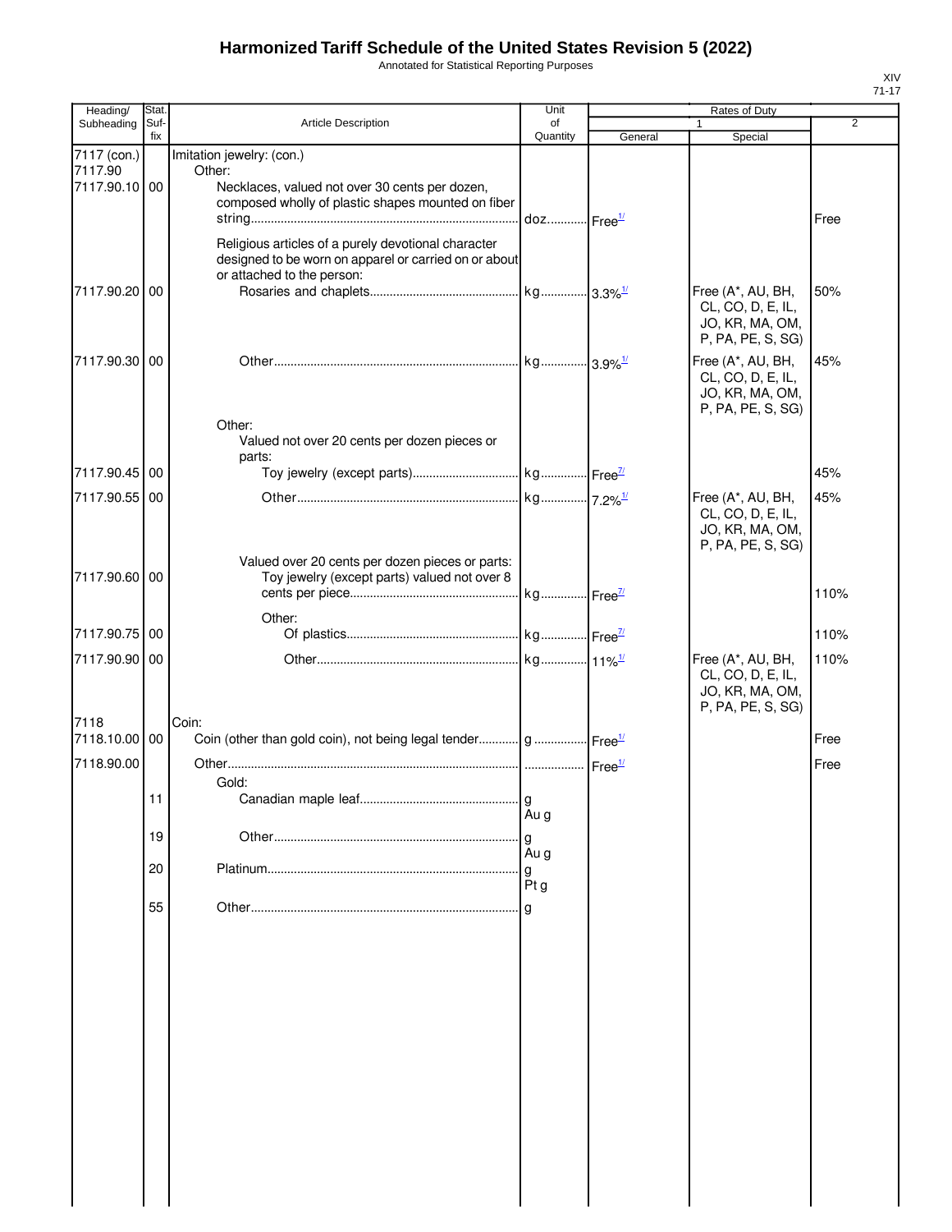Annotated for Statistical Reporting Purposes

| Heading/                                | Stat.<br>Suf-<br>fix | Article Description                                                                                                                        | Unit                   | Rates of Duty |                                                                                |                |  |
|-----------------------------------------|----------------------|--------------------------------------------------------------------------------------------------------------------------------------------|------------------------|---------------|--------------------------------------------------------------------------------|----------------|--|
| Subheading                              |                      |                                                                                                                                            | of<br>Quantity         | General       | 1<br>Special                                                                   | $\overline{2}$ |  |
| 7117 (con.)<br>7117.90<br>7117.90.10 00 |                      | Imitation jewelry: (con.)<br>Other:<br>Necklaces, valued not over 30 cents per dozen,                                                      |                        |               |                                                                                |                |  |
|                                         |                      | composed wholly of plastic shapes mounted on fiber                                                                                         | doz Free <sup>1/</sup> |               |                                                                                | Free           |  |
|                                         |                      | Religious articles of a purely devotional character<br>designed to be worn on apparel or carried on or about<br>or attached to the person: |                        |               |                                                                                |                |  |
| 7117.90.20                              | 00                   |                                                                                                                                            |                        |               | Free (A*, AU, BH,<br>CL, CO, D, E, IL,<br>JO, KR, MA, OM,<br>P, PA, PE, S, SG) | 50%            |  |
| 7117.90.30 00                           |                      | Other:                                                                                                                                     |                        |               | Free (A*, AU, BH,<br>CL, CO, D, E, IL,<br>JO, KR, MA, OM,<br>P, PA, PE, S, SG) | 45%            |  |
|                                         |                      | Valued not over 20 cents per dozen pieces or                                                                                               |                        |               |                                                                                |                |  |
| 7117.90.45 00                           |                      | parts:                                                                                                                                     |                        |               |                                                                                | 45%            |  |
| 7117.90.55 00                           |                      |                                                                                                                                            |                        |               | Free (A*, AU, BH,                                                              | 45%            |  |
|                                         |                      | Valued over 20 cents per dozen pieces or parts:                                                                                            |                        |               | CL, CO, D, E, IL,<br>JO, KR, MA, OM,<br>P, PA, PE, S, SG)                      |                |  |
| 7117.90.60 00                           |                      | Toy jewelry (except parts) valued not over 8                                                                                               |                        |               |                                                                                | 110%           |  |
|                                         |                      | Other:                                                                                                                                     |                        |               |                                                                                |                |  |
| 7117.90.75 00                           |                      |                                                                                                                                            |                        |               |                                                                                | 110%           |  |
| 7117.90.90 00                           |                      |                                                                                                                                            |                        |               | Free (A*, AU, BH,<br>CL, CO, D, E, IL,<br>JO, KR, MA, OM,<br>P, PA, PE, S, SG) | 110%           |  |
| 7118<br>7118.10.00 00                   |                      | Coin:<br>Coin (other than gold coin), not being legal tender g  Free <sup>1/</sup>                                                         |                        |               |                                                                                | Free           |  |
| 7118.90.00                              |                      |                                                                                                                                            |                        |               |                                                                                | Free           |  |
|                                         |                      | Gold:                                                                                                                                      |                        |               |                                                                                |                |  |
|                                         |                      |                                                                                                                                            | g<br>Au g              |               |                                                                                |                |  |
|                                         | 19                   |                                                                                                                                            | g                      |               |                                                                                |                |  |
|                                         | 20                   |                                                                                                                                            | Au g                   |               |                                                                                |                |  |
|                                         |                      |                                                                                                                                            | g<br>Ptg               |               |                                                                                |                |  |
|                                         | 55                   |                                                                                                                                            |                        |               |                                                                                |                |  |
|                                         |                      |                                                                                                                                            |                        |               |                                                                                |                |  |
|                                         |                      |                                                                                                                                            |                        |               |                                                                                |                |  |
|                                         |                      |                                                                                                                                            |                        |               |                                                                                |                |  |
|                                         |                      |                                                                                                                                            |                        |               |                                                                                |                |  |
|                                         |                      |                                                                                                                                            |                        |               |                                                                                |                |  |
|                                         |                      |                                                                                                                                            |                        |               |                                                                                |                |  |
|                                         |                      |                                                                                                                                            |                        |               |                                                                                |                |  |
|                                         |                      |                                                                                                                                            |                        |               |                                                                                |                |  |
|                                         |                      |                                                                                                                                            |                        |               |                                                                                |                |  |

XIV 71-17